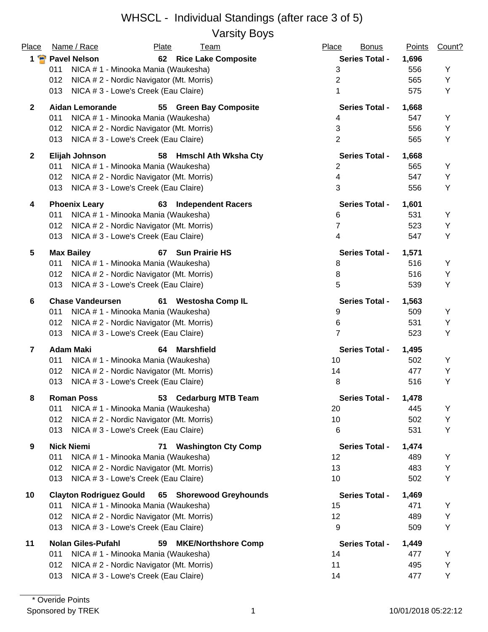Varsity Boys

| Place          | Name / Race                                     | Plate<br><u>Team</u>             | Place<br><b>Bonus</b> | <b>Points</b> | Count? |
|----------------|-------------------------------------------------|----------------------------------|-----------------------|---------------|--------|
|                | 1 Pavel Nelson                                  | 62 Rice Lake Composite           | <b>Series Total -</b> | 1,696         |        |
|                | NICA # 1 - Minooka Mania (Waukesha)<br>011      |                                  | 3                     | 556           | Υ      |
|                | 012<br>NICA # 2 - Nordic Navigator (Mt. Morris) |                                  | $\overline{2}$        | 565           | Υ      |
|                | NICA # 3 - Lowe's Creek (Eau Claire)<br>013     |                                  | 1                     | 575           | Y      |
| $\mathbf{2}$   | <b>Aidan Lemorande</b>                          | 55 Green Bay Composite           | <b>Series Total -</b> | 1,668         |        |
|                | 011<br>NICA # 1 - Minooka Mania (Waukesha)      |                                  | 4                     | 547           | Υ      |
|                | NICA #2 - Nordic Navigator (Mt. Morris)<br>012  |                                  | 3                     | 556           | Υ      |
|                | NICA # 3 - Lowe's Creek (Eau Claire)<br>013     |                                  | $\overline{2}$        | 565           | Υ      |
| $\mathbf{2}$   | Elijah Johnson                                  | 58 Hmschl Ath Wksha Cty          | <b>Series Total -</b> | 1,668         |        |
|                | NICA # 1 - Minooka Mania (Waukesha)<br>011      |                                  | 2                     | 565           | Y      |
|                | NICA # 2 - Nordic Navigator (Mt. Morris)<br>012 |                                  | 4                     | 547           | Υ      |
|                | NICA # 3 - Lowe's Creek (Eau Claire)<br>013     |                                  | 3                     | 556           | Υ      |
| 4              | <b>Phoenix Leary</b>                            | <b>Independent Racers</b><br>63  | <b>Series Total -</b> | 1,601         |        |
|                | 011<br>NICA # 1 - Minooka Mania (Waukesha)      |                                  | 6                     | 531           | Y      |
|                | NICA # 2 - Nordic Navigator (Mt. Morris)<br>012 |                                  | $\overline{7}$        | 523           | Υ      |
|                | NICA # 3 - Lowe's Creek (Eau Claire)<br>013     |                                  | 4                     | 547           | Υ      |
| 5              | <b>Max Bailey</b>                               | 67<br><b>Sun Prairie HS</b>      | <b>Series Total -</b> | 1,571         |        |
|                | NICA # 1 - Minooka Mania (Waukesha)<br>011      |                                  | 8                     | 516           | Y      |
|                | NICA # 2 - Nordic Navigator (Mt. Morris)<br>012 |                                  | 8                     | 516           | Υ      |
|                | 013<br>NICA # 3 - Lowe's Creek (Eau Claire)     |                                  | 5                     | 539           | Υ      |
| 6              | <b>Chase Vandeursen</b>                         | 61<br><b>Westosha Comp IL</b>    | <b>Series Total -</b> | 1,563         |        |
|                | 011<br>NICA # 1 - Minooka Mania (Waukesha)      |                                  | 9                     | 509           | Y      |
|                | 012<br>NICA # 2 - Nordic Navigator (Mt. Morris) |                                  | 6                     | 531           | Υ      |
|                | 013<br>NICA # 3 - Lowe's Creek (Eau Claire)     |                                  | $\overline{7}$        | 523           | Υ      |
| $\overline{7}$ | <b>Adam Maki</b>                                | <b>Marshfield</b><br>64          | <b>Series Total -</b> | 1,495         |        |
|                | 011<br>NICA # 1 - Minooka Mania (Waukesha)      |                                  | 10                    | 502           | Υ      |
|                | NICA # 2 - Nordic Navigator (Mt. Morris)<br>012 |                                  | 14                    | 477           | Υ      |
|                | 013<br>NICA # 3 - Lowe's Creek (Eau Claire)     |                                  | 8                     | 516           | Υ      |
| 8              | <b>Roman Poss</b>                               | 53 Cedarburg MTB Team            | <b>Series Total -</b> | 1,478         |        |
|                | NICA # 1 - Minooka Mania (Waukesha)<br>011      |                                  | 20                    | 445           | Y      |
|                | NICA #2 - Nordic Navigator (Mt. Morris)<br>012  |                                  | 10                    | 502           | Υ      |
|                | 013<br>NICA # 3 - Lowe's Creek (Eau Claire)     |                                  | 6                     | 531           | Υ      |
| 9              | <b>Nick Niemi</b>                               | <b>Washington Cty Comp</b><br>71 | <b>Series Total -</b> | 1,474         |        |
|                | 011<br>NICA # 1 - Minooka Mania (Waukesha)      |                                  | 12                    | 489           | Y      |
|                | NICA # 2 - Nordic Navigator (Mt. Morris)<br>012 |                                  | 13                    | 483           | Υ      |
|                | NICA # 3 - Lowe's Creek (Eau Claire)<br>013     |                                  | 10                    | 502           | Y      |
| 10             | <b>Clayton Rodriguez Gould</b>                  | 65 Shorewood Greyhounds          | <b>Series Total -</b> | 1,469         |        |
|                | NICA # 1 - Minooka Mania (Waukesha)<br>011      |                                  | 15                    | 471           | Y      |
|                | NICA # 2 - Nordic Navigator (Mt. Morris)<br>012 |                                  | 12                    | 489           | Υ      |
|                | NICA # 3 - Lowe's Creek (Eau Claire)<br>013     |                                  | 9                     | 509           | Υ      |
| 11             | <b>Nolan Giles-Pufahl</b>                       | <b>MKE/Northshore Comp</b><br>59 | <b>Series Total -</b> | 1,449         |        |
|                | NICA #1 - Minooka Mania (Waukesha)<br>011       |                                  | 14                    | 477           | Y      |
|                | NICA # 2 - Nordic Navigator (Mt. Morris)<br>012 |                                  | 11                    | 495           | Υ      |
|                | NICA # 3 - Lowe's Creek (Eau Claire)<br>013     |                                  | 14                    | 477           | Υ      |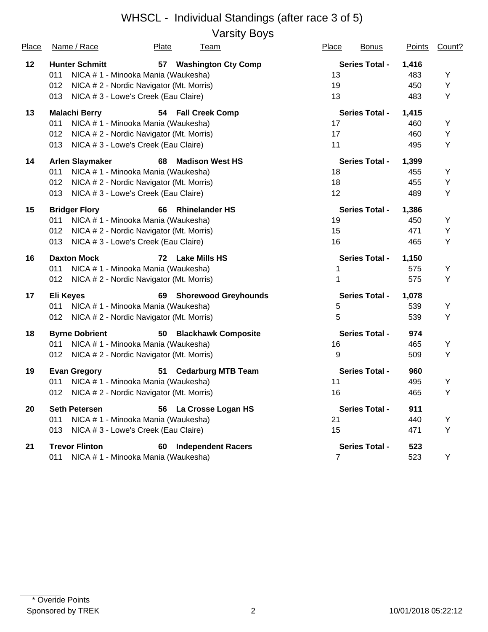Varsity Boys

| Place | Name / Race<br>Plate<br><u>Team</u>                       | Place<br><b>Bonus</b> | <b>Points</b> | Count? |
|-------|-----------------------------------------------------------|-----------------------|---------------|--------|
| 12    | <b>Hunter Schmitt</b><br>57<br><b>Washington Cty Comp</b> | <b>Series Total -</b> | 1,416         |        |
|       | 011<br>NICA # 1 - Minooka Mania (Waukesha)                | 13                    | 483           | Υ      |
|       | 012<br>NICA # 2 - Nordic Navigator (Mt. Morris)           | 19                    | 450           | Υ      |
|       | 013<br>NICA # 3 - Lowe's Creek (Eau Claire)               | 13                    | 483           | Υ      |
| 13    | <b>Malachi Berry</b><br>54 Fall Creek Comp                | <b>Series Total -</b> | 1,415         |        |
|       | 011<br>NICA # 1 - Minooka Mania (Waukesha)                | 17                    | 460           | Υ      |
|       | 012<br>NICA # 2 - Nordic Navigator (Mt. Morris)           | 17                    | 460           | Υ      |
|       | NICA # 3 - Lowe's Creek (Eau Claire)<br>013               | 11                    | 495           | Υ      |
| 14    | <b>Madison West HS</b><br><b>Arlen Slaymaker</b><br>68    | <b>Series Total -</b> | 1,399         |        |
|       | 011<br>NICA # 1 - Minooka Mania (Waukesha)                | 18                    | 455           | Υ      |
|       | 012<br>NICA # 2 - Nordic Navigator (Mt. Morris)           | 18                    | 455           | Υ      |
|       | 013<br>NICA # 3 - Lowe's Creek (Eau Claire)               | 12                    | 489           | Υ      |
| 15    | <b>Bridger Flory</b><br><b>Rhinelander HS</b><br>66       | <b>Series Total -</b> | 1,386         |        |
|       | NICA # 1 - Minooka Mania (Waukesha)<br>011                | 19                    | 450           | Υ      |
|       | 012<br>NICA # 2 - Nordic Navigator (Mt. Morris)           | 15                    | 471           | Υ      |
|       | 013<br>NICA # 3 - Lowe's Creek (Eau Claire)               | 16                    | 465           | Υ      |
| 16    | <b>Daxton Mock</b><br>Lake Mills HS<br>72                 | <b>Series Total -</b> | 1,150         |        |
|       | NICA # 1 - Minooka Mania (Waukesha)<br>011                | 1                     | 575           | Υ      |
|       | NICA # 2 - Nordic Navigator (Mt. Morris)<br>012           | 1                     | 575           | Υ      |
| 17    | <b>Eli Keyes</b><br><b>Shorewood Greyhounds</b><br>69     | <b>Series Total -</b> | 1,078         |        |
|       | NICA # 1 - Minooka Mania (Waukesha)<br>011                | 5                     | 539           | Υ      |
|       | NICA # 2 - Nordic Navigator (Mt. Morris)<br>012           | 5                     | 539           | Υ      |
| 18    | <b>Byrne Dobrient</b><br>50 Blackhawk Composite           | <b>Series Total -</b> | 974           |        |
|       | 011<br>NICA # 1 - Minooka Mania (Waukesha)                | 16                    | 465           | Υ      |
|       | 012<br>NICA # 2 - Nordic Navigator (Mt. Morris)           | 9                     | 509           | Υ      |
| 19    | <b>Cedarburg MTB Team</b><br><b>Evan Gregory</b><br>51    | <b>Series Total -</b> | 960           |        |
|       | 011<br>NICA # 1 - Minooka Mania (Waukesha)                | 11                    | 495           | Υ      |
|       | 012<br>NICA # 2 - Nordic Navigator (Mt. Morris)           | 16                    | 465           | Υ      |
| 20    | <b>Seth Petersen</b><br>56 La Crosse Logan HS             | <b>Series Total -</b> | 911           |        |
|       | NICA # 1 - Minooka Mania (Waukesha)<br>011                | 21                    | 440           | Υ      |
|       | NICA #3 - Lowe's Creek (Eau Claire)<br>013                | 15                    | 471           | Υ      |
| 21    | <b>Trevor Flinton</b><br><b>Independent Racers</b><br>60  | <b>Series Total -</b> | 523           |        |
|       | NICA # 1 - Minooka Mania (Waukesha)<br>011                | $\overline{7}$        | 523           | Y      |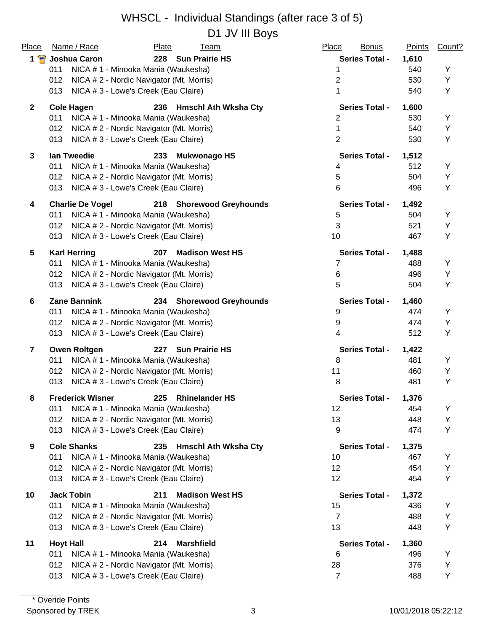### WHSCL - Individual Standings (after race 3 of 5) D1 JV III Bovs

| Place                   | Name / Race                                     | Plate<br><b>Team</b>               | Place | <b>Bonus</b>          | <b>Points</b> | Count? |
|-------------------------|-------------------------------------------------|------------------------------------|-------|-----------------------|---------------|--------|
| 1 P                     | Joshua Caron                                    | 228 Sun Prairie HS                 |       | <b>Series Total -</b> | 1,610         |        |
|                         | 011<br>NICA # 1 - Minooka Mania (Waukesha)      |                                    |       | 1                     | 540           | Y      |
|                         | 012<br>NICA # 2 - Nordic Navigator (Mt. Morris) |                                    |       | 2                     | 530           | Υ      |
|                         | 013<br>NICA # 3 - Lowe's Creek (Eau Claire)     |                                    |       | 1                     | 540           | Υ      |
| $\mathbf{2}$            | <b>Cole Hagen</b>                               | 236 Hmschl Ath Wksha Cty           |       | <b>Series Total -</b> | 1,600         |        |
|                         | 011<br>NICA # 1 - Minooka Mania (Waukesha)      |                                    |       | 2                     | 530           | Y      |
|                         | 012<br>NICA # 2 - Nordic Navigator (Mt. Morris) |                                    |       | 1                     | 540           | Υ      |
|                         | NICA # 3 - Lowe's Creek (Eau Claire)<br>013     |                                    |       | $\overline{2}$        | 530           | Υ      |
| $\mathbf{3}$            | lan Tweedie                                     | <b>Mukwonago HS</b><br>233         |       | <b>Series Total -</b> | 1,512         |        |
|                         | NICA # 1 - Minooka Mania (Waukesha)<br>011      |                                    |       | 4                     | 512           | Y      |
|                         | 012<br>NICA # 2 - Nordic Navigator (Mt. Morris) |                                    |       | 5                     | 504           | Υ      |
|                         | NICA # 3 - Lowe's Creek (Eau Claire)<br>013     |                                    |       | 6                     | 496           | Υ      |
| 4                       | <b>Charlie De Vogel</b>                         | 218 Shorewood Greyhounds           |       | <b>Series Total -</b> | 1,492         |        |
|                         | 011<br>NICA # 1 - Minooka Mania (Waukesha)      |                                    |       | 5                     | 504           | Y      |
|                         | NICA #2 - Nordic Navigator (Mt. Morris)<br>012  |                                    |       | $\mathbf{3}$          | 521           | Υ      |
|                         | 013<br>NICA # 3 - Lowe's Creek (Eau Claire)     |                                    |       | 10                    | 467           | Υ      |
| 5                       | <b>Karl Herring</b>                             | <b>Madison West HS</b><br>207      |       | <b>Series Total -</b> | 1,488         |        |
|                         | 011<br>NICA # 1 - Minooka Mania (Waukesha)      |                                    |       | 7                     | 488           | Y      |
|                         | NICA # 2 - Nordic Navigator (Mt. Morris)<br>012 |                                    |       | 6                     | 496           | Υ      |
|                         | 013<br>NICA # 3 - Lowe's Creek (Eau Claire)     |                                    |       | 5                     | 504           | Υ      |
| 6                       | <b>Zane Bannink</b>                             | 234 Shorewood Greyhounds           |       | <b>Series Total -</b> | 1,460         |        |
|                         | 011<br>NICA # 1 - Minooka Mania (Waukesha)      |                                    |       | 9                     | 474           | Y      |
|                         | NICA # 2 - Nordic Navigator (Mt. Morris)<br>012 |                                    |       | 9                     | 474           | Υ      |
|                         | 013<br>NICA # 3 - Lowe's Creek (Eau Claire)     |                                    |       | 4                     | 512           | Y      |
| $\overline{\mathbf{r}}$ | <b>Owen Roltgen</b>                             | <b>Sun Prairie HS</b><br>227       |       | <b>Series Total -</b> | 1,422         |        |
|                         | 011<br>NICA # 1 - Minooka Mania (Waukesha)      |                                    |       | 8                     | 481           | Y      |
|                         | 012<br>NICA # 2 - Nordic Navigator (Mt. Morris) |                                    |       | 11                    | 460           | Υ      |
|                         | 013<br>NICA # 3 - Lowe's Creek (Eau Claire)     |                                    |       | 8                     | 481           | Y      |
| 8                       | <b>Frederick Wisner</b>                         | <b>Rhinelander HS</b><br>225       |       | <b>Series Total -</b> | 1,376         |        |
|                         | 011<br>NICA # 1 - Minooka Mania (Waukesha)      |                                    |       | 12                    | 454           | Y      |
|                         | 012<br>NICA # 2 - Nordic Navigator (Mt. Morris) |                                    |       | 13                    | 448           | Υ      |
|                         | NICA # 3 - Lowe's Creek (Eau Claire)<br>013     |                                    |       | 9                     | 474           | Υ      |
| 9                       | <b>Cole Shanks</b>                              | <b>Hmschl Ath Wksha Cty</b><br>235 |       | <b>Series Total -</b> | 1,375         |        |
|                         | 011<br>NICA # 1 - Minooka Mania (Waukesha)      |                                    |       | 10                    | 467           | Υ      |
|                         | 012<br>NICA # 2 - Nordic Navigator (Mt. Morris) |                                    |       | 12                    | 454           | Υ      |
|                         | 013<br>NICA # 3 - Lowe's Creek (Eau Claire)     |                                    |       | 12                    | 454           | Υ      |
| 10                      | <b>Jack Tobin</b>                               | 211<br><b>Madison West HS</b>      |       | <b>Series Total -</b> | 1,372         |        |
|                         | NICA # 1 - Minooka Mania (Waukesha)<br>011      |                                    |       | 15                    | 436           | Υ      |
|                         | 012<br>NICA # 2 - Nordic Navigator (Mt. Morris) |                                    |       | 7                     | 488           | Υ      |
|                         | 013<br>NICA # 3 - Lowe's Creek (Eau Claire)     |                                    |       | 13                    | 448           | Υ      |
| 11                      | <b>Hoyt Hall</b>                                | <b>Marshfield</b><br>214           |       | <b>Series Total -</b> | 1,360         |        |
|                         | NICA # 1 - Minooka Mania (Waukesha)<br>011      |                                    |       | 6                     | 496           | Y      |
|                         | 012<br>NICA # 2 - Nordic Navigator (Mt. Morris) |                                    |       | 28                    | 376           | Υ      |
|                         | NICA # 3 - Lowe's Creek (Eau Claire)<br>013     |                                    |       | $\overline{7}$        | 488           | Υ      |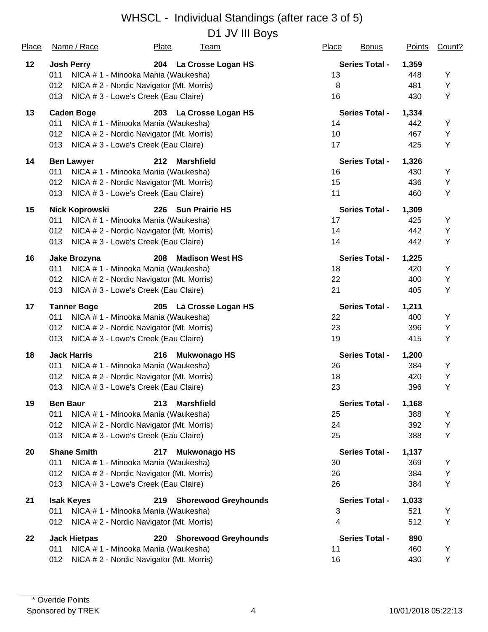D1 JV III Boys

| Place | Name / Race                                     | Plate | <b>Team</b>                 | Place | <b>Bonus</b>          | <b>Points</b> | Count? |
|-------|-------------------------------------------------|-------|-----------------------------|-------|-----------------------|---------------|--------|
| 12    | <b>Josh Perry</b>                               |       | 204 La Crosse Logan HS      |       | <b>Series Total -</b> | 1,359         |        |
|       | 011<br>NICA # 1 - Minooka Mania (Waukesha)      |       |                             | 13    |                       | 448           | Υ      |
|       | NICA # 2 - Nordic Navigator (Mt. Morris)<br>012 |       |                             | 8     |                       | 481           | Υ      |
|       | 013<br>NICA # 3 - Lowe's Creek (Eau Claire)     |       |                             | 16    |                       | 430           | Υ      |
| 13    | <b>Caden Boge</b>                               |       | 203 La Crosse Logan HS      |       | <b>Series Total -</b> | 1,334         |        |
|       | 011<br>NICA # 1 - Minooka Mania (Waukesha)      |       |                             | 14    |                       | 442           | Υ      |
|       | 012<br>NICA # 2 - Nordic Navigator (Mt. Morris) |       |                             | 10    |                       | 467           | Υ      |
|       | NICA # 3 - Lowe's Creek (Eau Claire)<br>013     |       |                             | 17    |                       | 425           | Υ      |
| 14    | <b>Ben Lawyer</b>                               | 212   | <b>Marshfield</b>           |       | <b>Series Total -</b> | 1,326         |        |
|       | 011<br>NICA # 1 - Minooka Mania (Waukesha)      |       |                             | 16    |                       | 430           | Υ      |
|       | 012<br>NICA # 2 - Nordic Navigator (Mt. Morris) |       |                             | 15    |                       | 436           | Υ      |
|       | 013<br>NICA # 3 - Lowe's Creek (Eau Claire)     |       |                             | 11    |                       | 460           | Υ      |
| 15    | <b>Nick Koprowski</b>                           |       | 226 Sun Prairie HS          |       | <b>Series Total -</b> | 1,309         |        |
|       | NICA # 1 - Minooka Mania (Waukesha)<br>011      |       |                             | 17    |                       | 425           | Υ      |
|       | 012<br>NICA #2 - Nordic Navigator (Mt. Morris)  |       |                             | 14    |                       | 442           | Υ      |
|       | 013<br>NICA # 3 - Lowe's Creek (Eau Claire)     |       |                             | 14    |                       | 442           | Υ      |
| 16    | Jake Brozyna                                    | 208   | <b>Madison West HS</b>      |       | <b>Series Total -</b> | 1,225         |        |
|       | 011<br>NICA # 1 - Minooka Mania (Waukesha)      |       |                             | 18    |                       | 420           | Υ      |
|       | 012<br>NICA # 2 - Nordic Navigator (Mt. Morris) |       |                             | 22    |                       | 400           | Υ      |
|       | 013<br>NICA # 3 - Lowe's Creek (Eau Claire)     |       |                             | 21    |                       | 405           | Υ      |
| 17    | <b>Tanner Boge</b>                              |       | 205 La Crosse Logan HS      |       | <b>Series Total -</b> | 1,211         |        |
|       | 011<br>NICA # 1 - Minooka Mania (Waukesha)      |       |                             | 22    |                       | 400           | Υ      |
|       | 012<br>NICA # 2 - Nordic Navigator (Mt. Morris) |       |                             | 23    |                       | 396           | Υ      |
|       | 013<br>NICA # 3 - Lowe's Creek (Eau Claire)     |       |                             | 19    |                       | 415           | Υ      |
| 18    | <b>Jack Harris</b>                              | 216   | <b>Mukwonago HS</b>         |       | <b>Series Total -</b> | 1,200         |        |
|       | NICA # 1 - Minooka Mania (Waukesha)<br>011      |       |                             | 26    |                       | 384           | Y      |
|       | 012<br>NICA # 2 - Nordic Navigator (Mt. Morris) |       |                             | 18    |                       | 420           | Υ      |
|       | 013<br>NICA # 3 - Lowe's Creek (Eau Claire)     |       |                             | 23    |                       | 396           | Υ      |
| 19    | <b>Ben Baur</b>                                 | 213   | <b>Marshfield</b>           |       | Series Total -        | 1,168         |        |
|       | 011<br>NICA # 1 - Minooka Mania (Waukesha)      |       |                             | 25    |                       | 388           | Y      |
|       | NICA #2 - Nordic Navigator (Mt. Morris)<br>012  |       |                             | 24    |                       | 392           | Υ      |
|       | 013<br>NICA # 3 - Lowe's Creek (Eau Claire)     |       |                             | 25    |                       | 388           | Υ      |
| 20    | <b>Shane Smith</b>                              | 217   | <b>Mukwonago HS</b>         |       | <b>Series Total -</b> | 1,137         |        |
|       | 011<br>NICA #1 - Minooka Mania (Waukesha)       |       |                             | 30    |                       | 369           | Y      |
|       | NICA #2 - Nordic Navigator (Mt. Morris)<br>012  |       |                             | 26    |                       | 384           | Υ      |
|       | 013<br>NICA # 3 - Lowe's Creek (Eau Claire)     |       |                             | 26    |                       | 384           | Υ      |
| 21    | <b>Isak Keyes</b>                               | 219   | <b>Shorewood Greyhounds</b> |       | <b>Series Total -</b> | 1,033         |        |
|       | 011<br>NICA # 1 - Minooka Mania (Waukesha)      |       |                             | 3     |                       | 521           | Υ      |
|       | NICA # 2 - Nordic Navigator (Mt. Morris)<br>012 |       |                             | 4     |                       | 512           | Υ      |
| 22    | <b>Jack Hietpas</b>                             | 220   | <b>Shorewood Greyhounds</b> |       | <b>Series Total -</b> | 890           |        |
|       | NICA # 1 - Minooka Mania (Waukesha)<br>011      |       |                             | 11    |                       | 460           | Y      |
|       | NICA # 2 - Nordic Navigator (Mt. Morris)<br>012 |       |                             | 16    |                       | 430           | Υ      |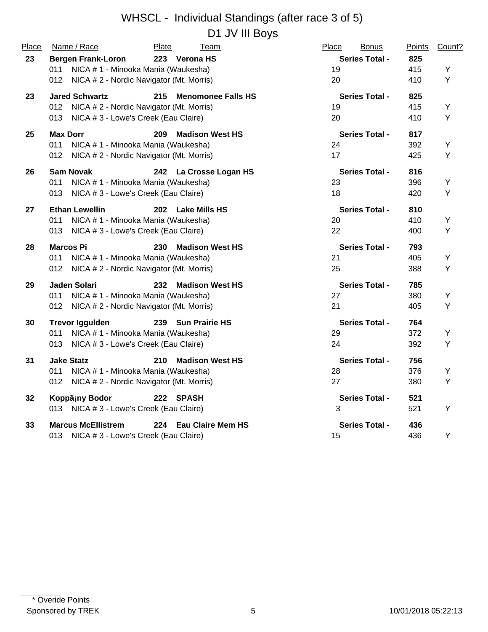# WHSCL - Individual Standings (after race 3 of 5) D1 JV III Boys

| Place | Name / Race                                     | Plate<br><b>Team</b>             | Place<br><b>Bonus</b> | Points | Count? |
|-------|-------------------------------------------------|----------------------------------|-----------------------|--------|--------|
| 23    | <b>Bergen Frank-Loron</b>                       | 223 Verona HS                    | <b>Series Total -</b> | 825    |        |
|       | NICA # 1 - Minooka Mania (Waukesha)<br>011      |                                  | 19                    | 415    | Y      |
|       | NICA # 2 - Nordic Navigator (Mt. Morris)<br>012 |                                  | 20                    | 410    | Y      |
| 23    | <b>Jared Schwartz</b>                           | 215<br><b>Menomonee Falls HS</b> | <b>Series Total -</b> | 825    |        |
|       | 012<br>NICA # 2 - Nordic Navigator (Mt. Morris) |                                  | 19                    | 415    | Y      |
|       | NICA #3 - Lowe's Creek (Eau Claire)<br>013      |                                  | 20                    | 410    | Y      |
| 25    | <b>Max Dorr</b>                                 | 209<br><b>Madison West HS</b>    | <b>Series Total -</b> | 817    |        |
|       | 011<br>NICA # 1 - Minooka Mania (Waukesha)      |                                  | 24                    | 392    | Y      |
|       | NICA # 2 - Nordic Navigator (Mt. Morris)<br>012 |                                  | 17                    | 425    | Y      |
| 26    | <b>Sam Novak</b>                                | 242<br>La Crosse Logan HS        | <b>Series Total -</b> | 816    |        |
|       | 011<br>NICA # 1 - Minooka Mania (Waukesha)      |                                  | 23                    | 396    | Y      |
|       | 013<br>NICA # 3 - Lowe's Creek (Eau Claire)     |                                  | 18                    | 420    | Y      |
| 27    | <b>Ethan Lewellin</b>                           | 202<br><b>Lake Mills HS</b>      | <b>Series Total -</b> | 810    |        |
|       | NICA # 1 - Minooka Mania (Waukesha)<br>011      |                                  | 20                    | 410    | Y      |
|       | NICA # 3 - Lowe's Creek (Eau Claire)<br>013     |                                  | 22                    | 400    | Y      |
| 28    | <b>Marcos Pi</b>                                | 230<br><b>Madison West HS</b>    | <b>Series Total -</b> | 793    |        |
|       | NICA # 1 - Minooka Mania (Waukesha)<br>011      |                                  | 21                    | 405    | Υ      |
|       | 012<br>NICA # 2 - Nordic Navigator (Mt. Morris) |                                  | 25                    | 388    | Υ      |
| 29    | Jaden Solari                                    | 232<br><b>Madison West HS</b>    | <b>Series Total -</b> | 785    |        |
|       | NICA # 1 - Minooka Mania (Waukesha)<br>011      |                                  | 27                    | 380    | Y      |
|       | 012<br>NICA # 2 - Nordic Navigator (Mt. Morris) |                                  | 21                    | 405    | Υ      |
| 30    | <b>Trevor Iggulden</b>                          | 239 Sun Prairie HS               | <b>Series Total -</b> | 764    |        |
|       | NICA # 1 - Minooka Mania (Waukesha)<br>011      |                                  | 29                    | 372    | Υ      |
|       | 013<br>NICA #3 - Lowe's Creek (Eau Claire)      |                                  | 24                    | 392    | Υ      |
| 31    | <b>Jake Statz</b>                               | 210<br><b>Madison West HS</b>    | <b>Series Total -</b> | 756    |        |
|       | NICA # 1 - Minooka Mania (Waukesha)<br>011      |                                  | 28                    | 376    | Y      |
|       | 012<br>NICA # 2 - Nordic Navigator (Mt. Morris) |                                  | 27                    | 380    | Y      |
| 32    | Koppäiny Bodor                                  | 222 SPASH                        | <b>Series Total -</b> | 521    |        |
|       | 013 NICA # 3 - Lowe's Creek (Eau Claire)        |                                  | 3                     | 521    | Y      |
| 33    | <b>Marcus McEllistrem</b>                       | 224 Eau Claire Mem HS            | <b>Series Total -</b> | 436    |        |
|       | NICA #3 - Lowe's Creek (Eau Claire)<br>013      |                                  | 15                    | 436    | Y      |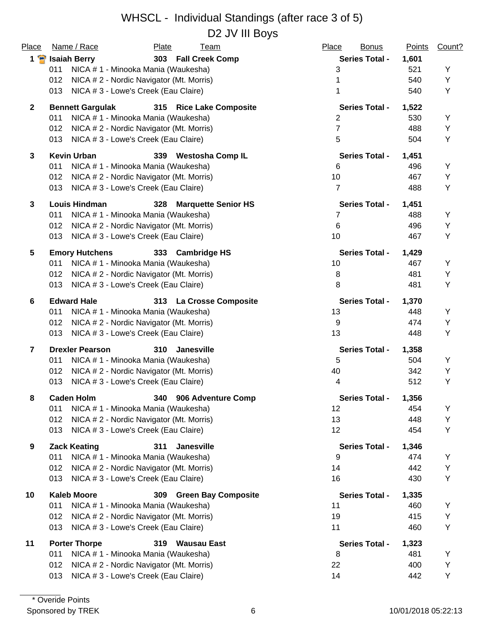### WHSCL - Individual Standings (after race 3 of 5) D<sub>2</sub> JV III Bovs

| Place          | Name / Race<br><b>Plate</b><br><b>Team</b>                | Place<br><b>Bonus</b> | <b>Points</b> | Count? |
|----------------|-----------------------------------------------------------|-----------------------|---------------|--------|
| 1 P            | 303 Fall Creek Comp<br><b>Isaiah Berry</b>                | <b>Series Total -</b> | 1,601         |        |
|                | 011<br>NICA # 1 - Minooka Mania (Waukesha)                | 3                     | 521           | Y      |
|                | 012<br>NICA # 2 - Nordic Navigator (Mt. Morris)           |                       | 540           | Y      |
|                | NICA # 3 - Lowe's Creek (Eau Claire)<br>013               | 1                     | 540           | Υ      |
| $\mathbf{2}$   | <b>Bennett Gargulak</b><br>315 Rice Lake Composite        | <b>Series Total -</b> | 1,522         |        |
|                | 011<br>NICA # 1 - Minooka Mania (Waukesha)                | $\overline{2}$        | 530           | Y      |
|                | NICA # 2 - Nordic Navigator (Mt. Morris)<br>012           | $\overline{7}$        | 488           | Y      |
|                | 013<br>NICA # 3 - Lowe's Creek (Eau Claire)               | 5                     | 504           | Y      |
| 3              | <b>Kevin Urban</b><br><b>Westosha Comp IL</b><br>339      | <b>Series Total -</b> | 1,451         |        |
|                | NICA # 1 - Minooka Mania (Waukesha)<br>011                | 6                     | 496           | Y      |
|                | 012<br>NICA # 2 - Nordic Navigator (Mt. Morris)           | 10                    | 467           | Y      |
|                | NICA # 3 - Lowe's Creek (Eau Claire)<br>013               | $\overline{7}$        | 488           | Υ      |
| $\mathbf{3}$   | <b>Louis Hindman</b><br><b>Marquette Senior HS</b><br>328 | <b>Series Total -</b> | 1,451         |        |
|                | NICA # 1 - Minooka Mania (Waukesha)<br>011                | 7                     | 488           | Υ      |
|                | NICA # 2 - Nordic Navigator (Mt. Morris)<br>012           | $\,6$                 | 496           | Y      |
|                | NICA # 3 - Lowe's Creek (Eau Claire)<br>013               | 10                    | 467           | Y      |
| 5              | <b>Emory Hutchens</b><br>333 Cambridge HS                 | <b>Series Total -</b> | 1,429         |        |
|                | NICA # 1 - Minooka Mania (Waukesha)<br>011                | 10                    | 467           | Υ      |
|                | NICA # 2 - Nordic Navigator (Mt. Morris)<br>012           | 8                     | 481           | Y      |
|                | 013<br>NICA # 3 - Lowe's Creek (Eau Claire)               | 8                     | 481           | Y      |
| 6              | <b>Edward Hale</b><br>313 La Crosse Composite             | <b>Series Total -</b> | 1,370         |        |
|                | 011<br>NICA # 1 - Minooka Mania (Waukesha)                | 13                    | 448           | Υ      |
|                | NICA # 2 - Nordic Navigator (Mt. Morris)<br>012           | 9                     | 474           | Y      |
|                | 013<br>NICA # 3 - Lowe's Creek (Eau Claire)               | 13                    | 448           | Y      |
| $\overline{7}$ | <b>Drexler Pearson</b><br>310<br><b>Janesville</b>        | <b>Series Total -</b> | 1,358         |        |
|                | NICA # 1 - Minooka Mania (Waukesha)<br>011                | 5                     | 504           | Υ      |
|                | NICA # 2 - Nordic Navigator (Mt. Morris)<br>012           | 40                    | 342           | Υ      |
|                | 013<br>NICA # 3 - Lowe's Creek (Eau Claire)               | 4                     | 512           | Y      |
| 8              | <b>Caden Holm</b><br>340<br>906 Adventure Comp            | Series Total -        | 1,356         |        |
|                | 011<br>NICA # 1 - Minooka Mania (Waukesha)                | 12                    | 454           | Υ      |
|                | 012<br>NICA # 2 - Nordic Navigator (Mt. Morris)           | 13                    | 448           | Y      |
|                | NICA # 3 - Lowe's Creek (Eau Claire)<br>013               | 12                    | 454           | Y      |
| 9              | <b>Zack Keating</b><br>311<br><b>Janesville</b>           | <b>Series Total -</b> | 1,346         |        |
|                | 011<br>NICA # 1 - Minooka Mania (Waukesha)                | 9                     | 474           | Υ      |
|                | 012<br>NICA # 2 - Nordic Navigator (Mt. Morris)           | 14                    | 442           | Y      |
|                | NICA # 3 - Lowe's Creek (Eau Claire)<br>013               | 16                    | 430           | Υ      |
| 10             | <b>Kaleb Moore</b><br><b>Green Bay Composite</b><br>309   | <b>Series Total -</b> | 1,335         |        |
|                | 011<br>NICA # 1 - Minooka Mania (Waukesha)                | 11                    | 460           | Υ      |
|                | NICA # 2 - Nordic Navigator (Mt. Morris)<br>012           | 19                    | 415           | Y      |
|                | 013<br>NICA # 3 - Lowe's Creek (Eau Claire)               | 11                    | 460           | Y      |
| 11             | <b>Porter Thorpe</b><br><b>Wausau East</b><br>319         | <b>Series Total -</b> | 1,323         |        |
|                | NICA # 1 - Minooka Mania (Waukesha)<br>011                | 8                     | 481           | Υ      |
|                | NICA #2 - Nordic Navigator (Mt. Morris)<br>012            | 22                    | 400           | Y      |
|                | 013<br>NICA # 3 - Lowe's Creek (Eau Claire)               | 14                    | 442           | Υ      |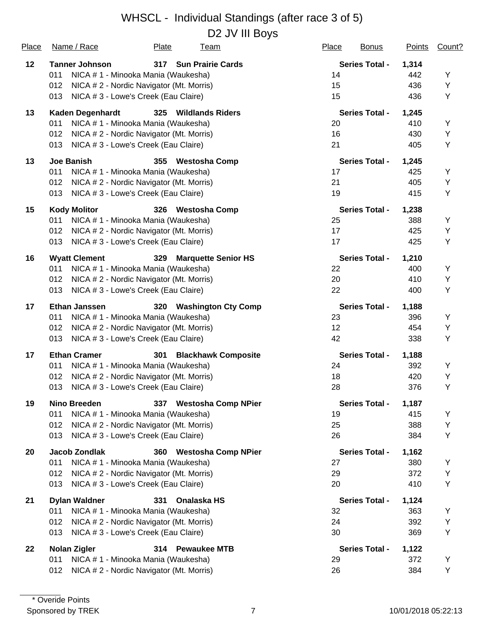D2 JV III Boys

| <b>Place</b> | Name / Race             | Plate<br><u>Team</u>                     | Place<br><b>Bonus</b> | <b>Points</b> | Count? |
|--------------|-------------------------|------------------------------------------|-----------------------|---------------|--------|
| 12           | <b>Tanner Johnson</b>   | 317 Sun Prairie Cards                    | <b>Series Total -</b> | 1,314         |        |
|              | 011                     | NICA # 1 - Minooka Mania (Waukesha)      | 14                    | 442           | Υ      |
|              | 012                     | NICA # 2 - Nordic Navigator (Mt. Morris) | 15                    | 436           | Υ      |
|              | 013                     | NICA # 3 - Lowe's Creek (Eau Claire)     | 15                    | 436           | Υ      |
| 13           | <b>Kaden Degenhardt</b> | 325 Wildlands Riders                     | <b>Series Total -</b> | 1,245         |        |
|              | 011                     | NICA # 1 - Minooka Mania (Waukesha)      | 20                    | 410           | Υ      |
|              | 012                     | NICA # 2 - Nordic Navigator (Mt. Morris) | 16                    | 430           | Υ      |
|              | 013                     | NICA # 3 - Lowe's Creek (Eau Claire)     | 21                    | 405           | Υ      |
| 13           | <b>Joe Banish</b>       | 355<br><b>Westosha Comp</b>              | <b>Series Total -</b> | 1,245         |        |
|              | 011                     | NICA # 1 - Minooka Mania (Waukesha)      | 17                    | 425           | Υ      |
|              | 012                     | NICA # 2 - Nordic Navigator (Mt. Morris) | 21                    | 405           | Υ      |
|              | 013                     | NICA # 3 - Lowe's Creek (Eau Claire)     | 19                    | 415           | Υ      |
| 15           | <b>Kody Molitor</b>     | 326 Westosha Comp                        | <b>Series Total -</b> | 1,238         |        |
|              | 011                     | NICA # 1 - Minooka Mania (Waukesha)      | 25                    | 388           | Υ      |
|              | 012                     | NICA #2 - Nordic Navigator (Mt. Morris)  | 17                    | 425           | Υ      |
|              | 013                     | NICA #3 - Lowe's Creek (Eau Claire)      | 17                    | 425           | Υ      |
| 16           | <b>Wyatt Clement</b>    | <b>Marquette Senior HS</b><br>329        | <b>Series Total -</b> | 1,210         |        |
|              | 011                     | NICA # 1 - Minooka Mania (Waukesha)      | 22                    | 400           | Υ      |
|              | 012                     | NICA # 2 - Nordic Navigator (Mt. Morris) | 20                    | 410           | Υ      |
|              | 013                     | NICA # 3 - Lowe's Creek (Eau Claire)     | 22                    | 400           | Υ      |
| 17           | <b>Ethan Janssen</b>    | 320 Washington Cty Comp                  | <b>Series Total -</b> | 1,188         |        |
|              | 011                     | NICA # 1 - Minooka Mania (Waukesha)      | 23                    | 396           | Υ      |
|              | 012                     | NICA # 2 - Nordic Navigator (Mt. Morris) | 12                    | 454           | Υ      |
|              | 013                     | NICA # 3 - Lowe's Creek (Eau Claire)     | 42                    | 338           | Υ      |
| 17           | <b>Ethan Cramer</b>     | <b>Blackhawk Composite</b><br>301        | <b>Series Total -</b> | 1,188         |        |
|              | 011                     | NICA # 1 - Minooka Mania (Waukesha)      | 24                    | 392           | Y      |
|              | 012                     | NICA # 2 - Nordic Navigator (Mt. Morris) | 18                    | 420           | Υ      |
|              | 013                     | NICA # 3 - Lowe's Creek (Eau Claire)     | 28                    | 376           | Υ      |
| 19           | Nino Breeden            | 337 Westosha Comp NPier                  | Series Total -        | 1,187         |        |
|              | 011                     | NICA # 1 - Minooka Mania (Waukesha)      | 19                    | 415           | Y      |
|              | 012                     | NICA # 2 - Nordic Navigator (Mt. Morris) | 25                    | 388           | Υ      |
|              | 013                     | NICA # 3 - Lowe's Creek (Eau Claire)     | 26                    | 384           | Υ      |
| 20           | <b>Jacob Zondlak</b>    | 360 Westosha Comp NPier                  | <b>Series Total -</b> | 1,162         |        |
|              | 011                     | NICA #1 - Minooka Mania (Waukesha)       | 27                    | 380           | Υ      |
|              | 012                     | NICA # 2 - Nordic Navigator (Mt. Morris) | 29                    | 372           | Υ      |
|              | 013                     | NICA # 3 - Lowe's Creek (Eau Claire)     | 20                    | 410           | Υ      |
| 21           | <b>Dylan Waldner</b>    | 331<br>Onalaska HS                       | <b>Series Total -</b> | 1,124         |        |
|              | 011                     | NICA # 1 - Minooka Mania (Waukesha)      | 32                    | 363           | Υ      |
|              | 012                     | NICA # 2 - Nordic Navigator (Mt. Morris) | 24                    | 392           | Υ      |
|              | 013                     | NICA # 3 - Lowe's Creek (Eau Claire)     | 30                    | 369           | Υ      |
| 22           | <b>Nolan Zigler</b>     | <b>Pewaukee MTB</b><br>314               | <b>Series Total -</b> | 1,122         |        |
|              | 011                     | NICA # 1 - Minooka Mania (Waukesha)      | 29                    | 372           | Υ      |
|              | 012                     | NICA #2 - Nordic Navigator (Mt. Morris)  | 26                    | 384           | Υ      |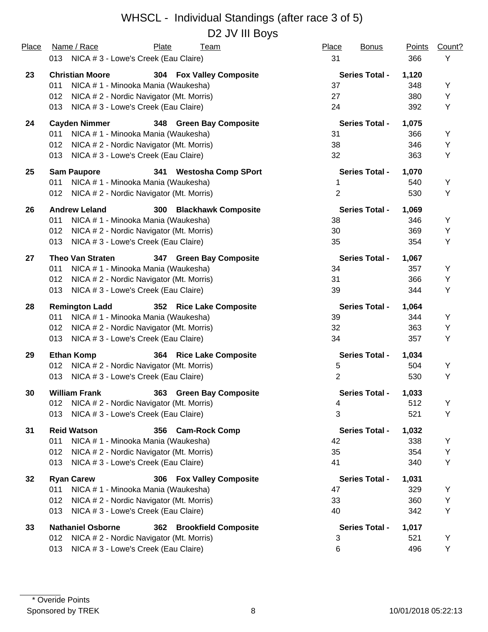## WHSCL - Individual Standings (after race 3 of 5) D<sub>2</sub> JV III Boys

| Place | Name / Race                                     | Plate | Team                       | Place          | <b>Bonus</b>          | <b>Points</b> | Count? |
|-------|-------------------------------------------------|-------|----------------------------|----------------|-----------------------|---------------|--------|
|       | 013 NICA # 3 - Lowe's Creek (Eau Claire)        |       |                            | 31             |                       | 366           | Y      |
| 23    | <b>Christian Moore</b>                          |       | 304 Fox Valley Composite   |                | <b>Series Total -</b> | 1,120         |        |
|       | 011<br>NICA # 1 - Minooka Mania (Waukesha)      |       |                            | 37             |                       | 348           | Υ      |
|       | 012<br>NICA # 2 - Nordic Navigator (Mt. Morris) |       |                            | 27             |                       | 380           | Y      |
|       | NICA # 3 - Lowe's Creek (Eau Claire)<br>013     |       |                            | 24             |                       | 392           | Υ      |
| 24    | <b>Cayden Nimmer</b>                            |       | 348 Green Bay Composite    |                | <b>Series Total -</b> | 1,075         |        |
|       | 011<br>NICA # 1 - Minooka Mania (Waukesha)      |       |                            | 31             |                       | 366           | Y      |
|       | NICA # 2 - Nordic Navigator (Mt. Morris)<br>012 |       |                            | 38             |                       | 346           | Y      |
|       | NICA # 3 - Lowe's Creek (Eau Claire)<br>013     |       |                            | 32             |                       | 363           | Y      |
| 25    | <b>Sam Paupore</b>                              |       | 341 Westosha Comp SPort    |                | <b>Series Total -</b> | 1,070         |        |
|       | NICA # 1 - Minooka Mania (Waukesha)<br>011      |       |                            | 1              |                       | 540           | Y      |
|       | 012 NICA # 2 - Nordic Navigator (Mt. Morris)    |       |                            | $\overline{2}$ |                       | 530           | Υ      |
| 26    | <b>Andrew Leland</b>                            |       | 300 Blackhawk Composite    |                | <b>Series Total -</b> | 1,069         |        |
|       | 011<br>NICA # 1 - Minooka Mania (Waukesha)      |       |                            | 38             |                       | 346           | Y      |
|       | NICA # 2 - Nordic Navigator (Mt. Morris)<br>012 |       |                            | 30             |                       | 369           | Y      |
|       | NICA # 3 - Lowe's Creek (Eau Claire)<br>013     |       |                            | 35             |                       | 354           | Y      |
| 27    | <b>Theo Van Straten</b>                         |       | 347 Green Bay Composite    |                | <b>Series Total -</b> | 1,067         |        |
|       | NICA # 1 - Minooka Mania (Waukesha)<br>011      |       |                            | 34             |                       | 357           | Y      |
|       | NICA # 2 - Nordic Navigator (Mt. Morris)<br>012 |       |                            | 31             |                       | 366           | Υ      |
|       | NICA # 3 - Lowe's Creek (Eau Claire)<br>013     |       |                            | 39             |                       | 344           | Y      |
| 28    | <b>Remington Ladd</b>                           |       | 352 Rice Lake Composite    |                | <b>Series Total -</b> | 1,064         |        |
|       | NICA # 1 - Minooka Mania (Waukesha)<br>011      |       |                            | 39             |                       | 344           | Y      |
|       | NICA # 2 - Nordic Navigator (Mt. Morris)<br>012 |       |                            | 32             |                       | 363           | Υ      |
|       | NICA # 3 - Lowe's Creek (Eau Claire)<br>013     |       |                            | 34             |                       | 357           | Υ      |
| 29    | <b>Ethan Komp</b>                               |       | 364 Rice Lake Composite    |                | <b>Series Total -</b> | 1,034         |        |
|       | NICA # 2 - Nordic Navigator (Mt. Morris)<br>012 |       |                            | 5              |                       | 504           | Υ      |
|       | 013 NICA # 3 - Lowe's Creek (Eau Claire)        |       |                            | $\overline{2}$ |                       | 530           | Υ      |
| 30    | <b>William Frank</b>                            | 363   | <b>Green Bay Composite</b> |                | <b>Series Total -</b> | 1,033         |        |
|       | NICA # 2 - Nordic Navigator (Mt. Morris)<br>012 |       |                            | 4              |                       | 512           | Y      |
|       | NICA # 3 - Lowe's Creek (Eau Claire)<br>013     |       |                            | 3              |                       | 521           | Υ      |
| 31    | <b>Reid Watson</b>                              |       | 356 Cam-Rock Comp          |                | <b>Series Total -</b> | 1,032         |        |
|       | NICA # 1 - Minooka Mania (Waukesha)<br>011      |       |                            | 42             |                       | 338           | Υ      |
|       | NICA #2 - Nordic Navigator (Mt. Morris)<br>012  |       |                            | 35             |                       | 354           | Υ      |
|       | NICA #3 - Lowe's Creek (Eau Claire)<br>013      |       |                            | 41             |                       | 340           | Υ      |
| 32    | <b>Ryan Carew</b>                               |       | 306 Fox Valley Composite   |                | <b>Series Total -</b> | 1,031         |        |
|       | NICA # 1 - Minooka Mania (Waukesha)<br>011      |       |                            | 47             |                       | 329           | Y      |
|       | NICA #2 - Nordic Navigator (Mt. Morris)<br>012  |       |                            | 33             |                       | 360           | Υ      |
|       | NICA # 3 - Lowe's Creek (Eau Claire)<br>013     |       |                            | 40             |                       | 342           | Υ      |
| 33    | <b>Nathaniel Osborne</b>                        |       | 362 Brookfield Composite   |                | <b>Series Total -</b> | 1,017         |        |
|       | 012<br>NICA # 2 - Nordic Navigator (Mt. Morris) |       |                            | 3              |                       | 521           | Y      |
|       | NICA # 3 - Lowe's Creek (Eau Claire)<br>013     |       |                            | 6              |                       | 496           | Y      |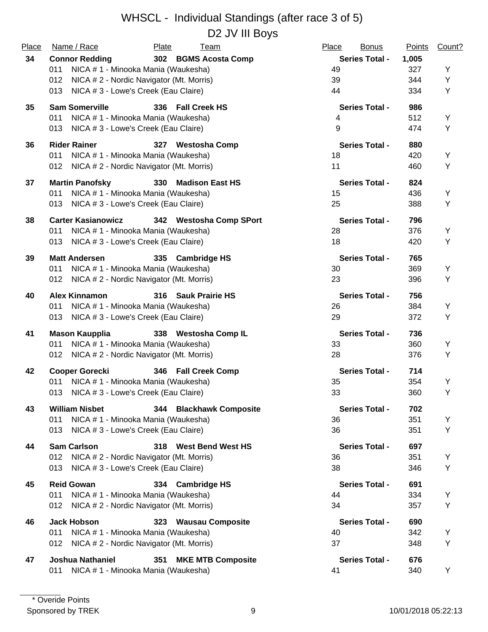D2 JV III Boys

| Place | Name / Race                                     | Plate<br>Team                        | Place<br><b>Bonus</b> | Points | Count? |
|-------|-------------------------------------------------|--------------------------------------|-----------------------|--------|--------|
| 34    | <b>Connor Redding</b>                           | 302 BGMS Acosta Comp                 | <b>Series Total -</b> | 1,005  |        |
|       | NICA # 1 - Minooka Mania (Waukesha)<br>011      |                                      | 49                    | 327    | Y      |
|       | NICA # 2 - Nordic Navigator (Mt. Morris)<br>012 |                                      | 39                    | 344    | Υ      |
|       | NICA # 3 - Lowe's Creek (Eau Claire)<br>013     |                                      | 44                    | 334    | Υ      |
| 35    | <b>Sam Somerville</b>                           | 336 Fall Creek HS                    | <b>Series Total -</b> | 986    |        |
|       | 011<br>NICA # 1 - Minooka Mania (Waukesha)      |                                      | 4                     | 512    | Υ      |
|       | 013<br>NICA # 3 - Lowe's Creek (Eau Claire)     |                                      | 9                     | 474    | Υ      |
| 36    | <b>Rider Rainer</b>                             | 327 Westosha Comp                    | <b>Series Total -</b> | 880    |        |
|       | 011<br>NICA # 1 - Minooka Mania (Waukesha)      |                                      | 18                    | 420    | Y      |
|       | NICA # 2 - Nordic Navigator (Mt. Morris)<br>012 |                                      | 11                    | 460    | Υ      |
| 37    | <b>Martin Panofsky</b>                          | <b>330</b><br><b>Madison East HS</b> | <b>Series Total -</b> | 824    |        |
|       | 011<br>NICA # 1 - Minooka Mania (Waukesha)      |                                      | 15                    | 436    | Y      |
|       | NICA # 3 - Lowe's Creek (Eau Claire)<br>013     |                                      | 25                    | 388    | Υ      |
| 38    | <b>Carter Kasianowicz</b>                       | 342 Westosha Comp SPort              | <b>Series Total -</b> | 796    |        |
|       | 011<br>NICA # 1 - Minooka Mania (Waukesha)      |                                      | 28                    | 376    | Y      |
|       | NICA # 3 - Lowe's Creek (Eau Claire)<br>013     |                                      | 18                    | 420    | Υ      |
| 39    | <b>Matt Andersen</b>                            | 335 Cambridge HS                     | <b>Series Total -</b> | 765    |        |
|       | NICA # 1 - Minooka Mania (Waukesha)<br>011      |                                      | 30                    | 369    | Υ      |
|       | NICA # 2 - Nordic Navigator (Mt. Morris)<br>012 |                                      | 23                    | 396    | Υ      |
| 40    | <b>Alex Kinnamon</b>                            | 316 Sauk Prairie HS                  | <b>Series Total -</b> | 756    |        |
|       | NICA # 1 - Minooka Mania (Waukesha)<br>011      |                                      | 26                    | 384    | Υ      |
|       | NICA #3 - Lowe's Creek (Eau Claire)<br>013      |                                      | 29                    | 372    | Υ      |
| 41    | <b>Mason Kaupplia</b>                           | 338 Westosha Comp IL                 | <b>Series Total -</b> | 736    |        |
|       | NICA # 1 - Minooka Mania (Waukesha)<br>011      |                                      | 33                    | 360    | Y      |
|       | 012 NICA # 2 - Nordic Navigator (Mt. Morris)    |                                      | 28                    | 376    | Υ      |
| 42    | <b>Cooper Gorecki</b>                           | 346 Fall Creek Comp                  | <b>Series Total -</b> | 714    |        |
|       | NICA # 1 - Minooka Mania (Waukesha)<br>011      |                                      | 35                    | 354    | Υ      |
|       | NICA # 3 - Lowe's Creek (Eau Claire)<br>013     |                                      | 33                    | 360    | Y      |
| 43    | <b>William Nisbet</b>                           | 344 Blackhawk Composite              | <b>Series Total -</b> | 702    |        |
|       | NICA # 1 - Minooka Mania (Waukesha)<br>011      |                                      | 36                    | 351    | Υ      |
|       | 013<br>NICA # 3 - Lowe's Creek (Eau Claire)     |                                      | 36                    | 351    | Υ      |
| 44    | <b>Sam Carlson</b>                              | 318 West Bend West HS                | <b>Series Total -</b> | 697    |        |
|       | 012<br>NICA # 2 - Nordic Navigator (Mt. Morris) |                                      | 36                    | 351    | Y      |
|       | 013<br>NICA # 3 - Lowe's Creek (Eau Claire)     |                                      | 38                    | 346    | Y      |
| 45    | <b>Reid Gowan</b>                               | 334 Cambridge HS                     | <b>Series Total -</b> | 691    |        |
|       | 011<br>NICA # 1 - Minooka Mania (Waukesha)      |                                      | 44                    | 334    | Y      |
|       | 012<br>NICA # 2 - Nordic Navigator (Mt. Morris) |                                      | 34                    | 357    | Y      |
| 46    | <b>Jack Hobson</b>                              | 323 Wausau Composite                 | <b>Series Total -</b> | 690    |        |
|       | 011<br>NICA # 1 - Minooka Mania (Waukesha)      |                                      | 40                    | 342    | Υ      |
|       | NICA # 2 - Nordic Navigator (Mt. Morris)<br>012 |                                      | 37                    | 348    | Y      |
| 47    | <b>Joshua Nathaniel</b>                         | <b>MKE MTB Composite</b><br>351      | <b>Series Total -</b> | 676    |        |
|       | NICA # 1 - Minooka Mania (Waukesha)<br>011      |                                      | 41                    | 340    | Y      |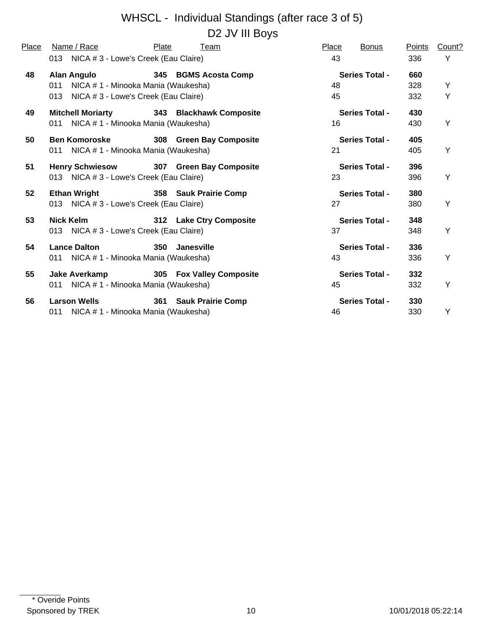# WHSCL - Individual Standings (after race 3 of 5) D2 JV III Boys

| Place | Name / Race                                                                                                  | Plate      | Team                     | Place    | <b>Bonus</b>          | Points            | Count? |
|-------|--------------------------------------------------------------------------------------------------------------|------------|--------------------------|----------|-----------------------|-------------------|--------|
|       | 013 NICA # 3 - Lowe's Creek (Eau Claire)                                                                     |            |                          | 43       |                       | 336               | Y      |
| 48    | <b>Alan Angulo</b><br>NICA # 1 - Minooka Mania (Waukesha)<br>011<br>013 NICA # 3 - Lowe's Creek (Eau Claire) |            | 345 BGMS Acosta Comp     | 48<br>45 | <b>Series Total -</b> | 660<br>328<br>332 | Y<br>Y |
| 49    | <b>Mitchell Moriarty</b><br>011 NICA # 1 - Minooka Mania (Waukesha)                                          |            | 343 Blackhawk Composite  | 16       | <b>Series Total -</b> | 430<br>430        | Υ      |
| 50    | <b>Ben Komoroske</b><br>011 NICA # 1 - Minooka Mania (Waukesha)                                              |            | 308 Green Bay Composite  | 21       | <b>Series Total -</b> | 405<br>405        | Y      |
| 51    | Henry Schwiesow 307 Green Bay Composite<br>013 NICA # 3 - Lowe's Creek (Eau Claire)                          |            |                          | 23       | <b>Series Total -</b> | 396<br>396        | Y      |
| 52    | Ethan Wright<br>013 NICA # 3 - Lowe's Creek (Eau Claire)                                                     |            | 358 Sauk Prairie Comp    | 27       | <b>Series Total -</b> | 380<br>380        | Y      |
| 53    | Nick Kelm<br>013 NICA # 3 - Lowe's Creek (Eau Claire)                                                        |            | 312 Lake Ctry Composite  | 37       | <b>Series Total -</b> | 348<br>348        | Y      |
| 54    | <b>Lance Dalton</b><br>011 NICA # 1 - Minooka Mania (Waukesha)                                               | <b>350</b> | <b>Janesville</b>        | 43       | <b>Series Total -</b> | 336<br>336        | Υ      |
| 55    | Jake Averkamp<br>011 NICA # 1 - Minooka Mania (Waukesha)                                                     |            | 305 Fox Valley Composite | 45       | <b>Series Total -</b> | 332<br>332        | Υ      |
| 56    | <b>Larson Wells</b><br>011 NICA # 1 - Minooka Mania (Waukesha)                                               |            | 361 Sauk Prairie Comp    | 46       | <b>Series Total -</b> | 330<br>330        | Υ      |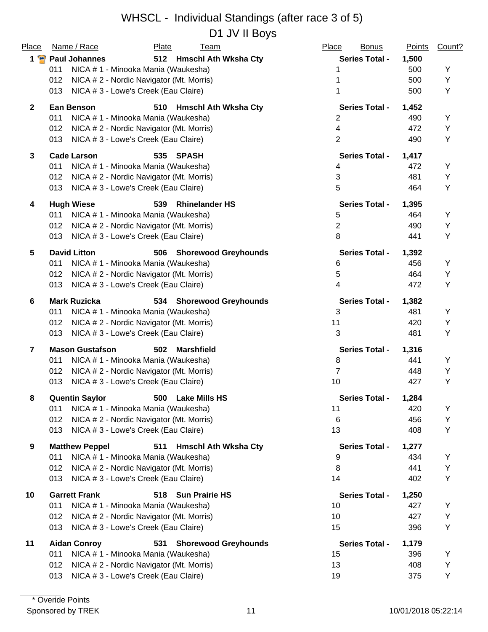D1 JV II Boys

| Place          | Name / Race                                     | Plate | <u>Team</u>                 | Place<br><b>Bonus</b> | <b>Points</b> | Count? |
|----------------|-------------------------------------------------|-------|-----------------------------|-----------------------|---------------|--------|
|                | 1 Paul Johannes                                 |       | 512 Hmschl Ath Wksha Cty    | <b>Series Total -</b> | 1,500         |        |
|                | NICA # 1 - Minooka Mania (Waukesha)<br>011      |       |                             | 1                     | 500           | Υ      |
|                | 012<br>NICA # 2 - Nordic Navigator (Mt. Morris) |       |                             |                       | 500           | Υ      |
|                | 013<br>NICA # 3 - Lowe's Creek (Eau Claire)     |       |                             | 1                     | 500           | Υ      |
| $\mathbf{2}$   | <b>Ean Benson</b>                               |       | 510 Hmschl Ath Wksha Cty    | <b>Series Total -</b> | 1,452         |        |
|                | 011<br>NICA # 1 - Minooka Mania (Waukesha)      |       |                             | 2                     | 490           | Y      |
|                | NICA #2 - Nordic Navigator (Mt. Morris)<br>012  |       |                             | 4                     | 472           | Υ      |
|                | NICA #3 - Lowe's Creek (Eau Claire)<br>013      |       |                             | $\overline{2}$        | 490           | Υ      |
| $\mathbf{3}$   | <b>Cade Larson</b>                              | 535   | <b>SPASH</b>                | <b>Series Total -</b> | 1,417         |        |
|                | 011<br>NICA # 1 - Minooka Mania (Waukesha)      |       |                             | 4                     | 472           | Υ      |
|                | 012<br>NICA # 2 - Nordic Navigator (Mt. Morris) |       |                             | 3                     | 481           | Υ      |
|                | NICA # 3 - Lowe's Creek (Eau Claire)<br>013     |       |                             | 5                     | 464           | Υ      |
| 4              | <b>Hugh Wiese</b>                               | 539   | <b>Rhinelander HS</b>       | <b>Series Total -</b> | 1,395         |        |
|                | 011<br>NICA # 1 - Minooka Mania (Waukesha)      |       |                             | 5                     | 464           | Y      |
|                | NICA # 2 - Nordic Navigator (Mt. Morris)<br>012 |       |                             | 2                     | 490           | Υ      |
|                | 013<br>NICA # 3 - Lowe's Creek (Eau Claire)     |       |                             | 8                     | 441           | Υ      |
| 5              | <b>David Litton</b>                             | 506   | <b>Shorewood Greyhounds</b> | <b>Series Total -</b> | 1,392         |        |
|                | NICA # 1 - Minooka Mania (Waukesha)<br>011      |       |                             | 6                     | 456           | Υ      |
|                | NICA # 2 - Nordic Navigator (Mt. Morris)<br>012 |       |                             | 5                     | 464           | Υ      |
|                | 013<br>NICA # 3 - Lowe's Creek (Eau Claire)     |       |                             | 4                     | 472           | Υ      |
| 6              | <b>Mark Ruzicka</b>                             |       | 534 Shorewood Greyhounds    | <b>Series Total -</b> | 1,382         |        |
|                | 011<br>NICA # 1 - Minooka Mania (Waukesha)      |       |                             | 3                     | 481           | Y      |
|                | 012<br>NICA # 2 - Nordic Navigator (Mt. Morris) |       |                             | 11                    | 420           | Υ      |
|                | 013<br>NICA # 3 - Lowe's Creek (Eau Claire)     |       |                             | 3                     | 481           | Υ      |
| $\overline{7}$ | <b>Mason Gustafson</b>                          | 502   | <b>Marshfield</b>           | <b>Series Total -</b> | 1,316         |        |
|                | 011<br>NICA # 1 - Minooka Mania (Waukesha)      |       |                             | 8                     | 441           | Υ      |
|                | 012<br>NICA # 2 - Nordic Navigator (Mt. Morris) |       |                             | $\overline{7}$        | 448           | Y      |
|                | 013<br>NICA # 3 - Lowe's Creek (Eau Claire)     |       |                             | 10                    | 427           | Υ      |
|                | <b>Quentin Saylor</b>                           |       | 500 Lake Mills HS           | <b>Series Total -</b> | 1,284         |        |
|                | NICA #1 - Minooka Mania (Waukesha)<br>011       |       |                             | 11                    | 420           | Y      |
|                | NICA # 2 - Nordic Navigator (Mt. Morris)<br>012 |       |                             | 6                     | 456           | Y      |
|                | 013<br>NICA # 3 - Lowe's Creek (Eau Claire)     |       |                             | 13                    | 408           | Y      |
| 9              | <b>Matthew Peppel</b>                           | 511   | <b>Hmschl Ath Wksha Cty</b> | <b>Series Total -</b> | 1,277         |        |
|                | NICA # 1 - Minooka Mania (Waukesha)<br>011      |       |                             | 9                     | 434           | Υ      |
|                | NICA # 2 - Nordic Navigator (Mt. Morris)<br>012 |       |                             | 8                     | 441           | Υ      |
|                | 013<br>NICA # 3 - Lowe's Creek (Eau Claire)     |       |                             | 14                    | 402           | Υ      |
| 10             | <b>Garrett Frank</b>                            |       | 518 Sun Prairie HS          | <b>Series Total -</b> | 1,250         |        |
|                | 011<br>NICA # 1 - Minooka Mania (Waukesha)      |       |                             | 10                    | 427           | Υ      |
|                | NICA #2 - Nordic Navigator (Mt. Morris)<br>012  |       |                             | 10                    | 427           | Υ      |
|                | NICA # 3 - Lowe's Creek (Eau Claire)<br>013     |       |                             | 15                    | 396           | Υ      |
| 11             | <b>Aidan Conroy</b>                             | 531   | <b>Shorewood Greyhounds</b> | <b>Series Total -</b> | 1,179         |        |
|                | NICA # 1 - Minooka Mania (Waukesha)<br>011      |       |                             | 15                    | 396           | Y      |
|                | NICA # 2 - Nordic Navigator (Mt. Morris)<br>012 |       |                             | 13                    | 408           | Υ      |
|                | NICA #3 - Lowe's Creek (Eau Claire)<br>013      |       |                             | 19                    | 375           | Y      |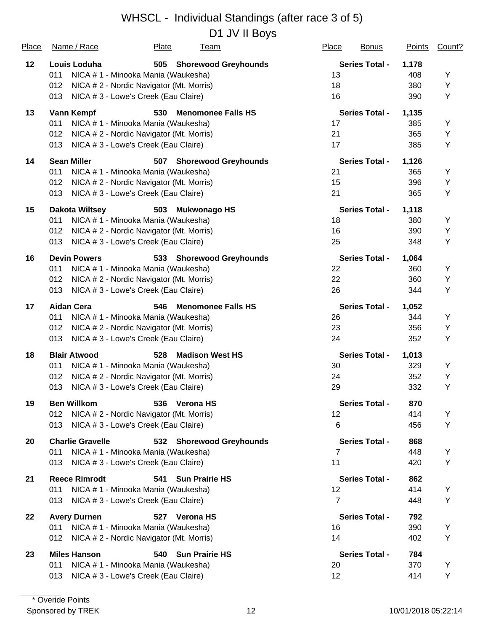D1 JV II Boys

|                         |                                  |              |                                                                                                                                                                                                                                                                                                                                                                                                                                                                                                                                                                                                                                                                                                                                                                                                                                                                                                                                                                                                                                                                                                                                                                                                                                                                                                                                                                                                                                                                                                                                                                                                                                 |                      |                                                                                                                                                                                                                                                                                                                                          | Count?                                           |
|-------------------------|----------------------------------|--------------|---------------------------------------------------------------------------------------------------------------------------------------------------------------------------------------------------------------------------------------------------------------------------------------------------------------------------------------------------------------------------------------------------------------------------------------------------------------------------------------------------------------------------------------------------------------------------------------------------------------------------------------------------------------------------------------------------------------------------------------------------------------------------------------------------------------------------------------------------------------------------------------------------------------------------------------------------------------------------------------------------------------------------------------------------------------------------------------------------------------------------------------------------------------------------------------------------------------------------------------------------------------------------------------------------------------------------------------------------------------------------------------------------------------------------------------------------------------------------------------------------------------------------------------------------------------------------------------------------------------------------------|----------------------|------------------------------------------------------------------------------------------------------------------------------------------------------------------------------------------------------------------------------------------------------------------------------------------------------------------------------------------|--------------------------------------------------|
| Louis Loduha            |                                  |              |                                                                                                                                                                                                                                                                                                                                                                                                                                                                                                                                                                                                                                                                                                                                                                                                                                                                                                                                                                                                                                                                                                                                                                                                                                                                                                                                                                                                                                                                                                                                                                                                                                 |                      | 1,178                                                                                                                                                                                                                                                                                                                                    |                                                  |
| 011                     |                                  |              | 13                                                                                                                                                                                                                                                                                                                                                                                                                                                                                                                                                                                                                                                                                                                                                                                                                                                                                                                                                                                                                                                                                                                                                                                                                                                                                                                                                                                                                                                                                                                                                                                                                              |                      | 408                                                                                                                                                                                                                                                                                                                                      | Y                                                |
| 012                     |                                  |              | 18                                                                                                                                                                                                                                                                                                                                                                                                                                                                                                                                                                                                                                                                                                                                                                                                                                                                                                                                                                                                                                                                                                                                                                                                                                                                                                                                                                                                                                                                                                                                                                                                                              |                      | 380                                                                                                                                                                                                                                                                                                                                      | Υ                                                |
| 013                     |                                  |              | 16                                                                                                                                                                                                                                                                                                                                                                                                                                                                                                                                                                                                                                                                                                                                                                                                                                                                                                                                                                                                                                                                                                                                                                                                                                                                                                                                                                                                                                                                                                                                                                                                                              |                      | 390                                                                                                                                                                                                                                                                                                                                      | Υ                                                |
| <b>Vann Kempf</b>       | 530                              |              |                                                                                                                                                                                                                                                                                                                                                                                                                                                                                                                                                                                                                                                                                                                                                                                                                                                                                                                                                                                                                                                                                                                                                                                                                                                                                                                                                                                                                                                                                                                                                                                                                                 |                      | 1,135                                                                                                                                                                                                                                                                                                                                    |                                                  |
| 011                     |                                  |              | 17                                                                                                                                                                                                                                                                                                                                                                                                                                                                                                                                                                                                                                                                                                                                                                                                                                                                                                                                                                                                                                                                                                                                                                                                                                                                                                                                                                                                                                                                                                                                                                                                                              |                      | 385                                                                                                                                                                                                                                                                                                                                      | Υ                                                |
| 012                     |                                  |              | 21                                                                                                                                                                                                                                                                                                                                                                                                                                                                                                                                                                                                                                                                                                                                                                                                                                                                                                                                                                                                                                                                                                                                                                                                                                                                                                                                                                                                                                                                                                                                                                                                                              |                      | 365                                                                                                                                                                                                                                                                                                                                      | Υ                                                |
| 013                     |                                  |              | 17                                                                                                                                                                                                                                                                                                                                                                                                                                                                                                                                                                                                                                                                                                                                                                                                                                                                                                                                                                                                                                                                                                                                                                                                                                                                                                                                                                                                                                                                                                                                                                                                                              |                      | 385                                                                                                                                                                                                                                                                                                                                      | Υ                                                |
| <b>Sean Miller</b>      | 507                              |              |                                                                                                                                                                                                                                                                                                                                                                                                                                                                                                                                                                                                                                                                                                                                                                                                                                                                                                                                                                                                                                                                                                                                                                                                                                                                                                                                                                                                                                                                                                                                                                                                                                 |                      | 1,126                                                                                                                                                                                                                                                                                                                                    |                                                  |
| 011                     |                                  |              | 21                                                                                                                                                                                                                                                                                                                                                                                                                                                                                                                                                                                                                                                                                                                                                                                                                                                                                                                                                                                                                                                                                                                                                                                                                                                                                                                                                                                                                                                                                                                                                                                                                              |                      | 365                                                                                                                                                                                                                                                                                                                                      | Υ                                                |
|                         |                                  |              |                                                                                                                                                                                                                                                                                                                                                                                                                                                                                                                                                                                                                                                                                                                                                                                                                                                                                                                                                                                                                                                                                                                                                                                                                                                                                                                                                                                                                                                                                                                                                                                                                                 |                      |                                                                                                                                                                                                                                                                                                                                          | Υ                                                |
| 013                     |                                  |              | 21                                                                                                                                                                                                                                                                                                                                                                                                                                                                                                                                                                                                                                                                                                                                                                                                                                                                                                                                                                                                                                                                                                                                                                                                                                                                                                                                                                                                                                                                                                                                                                                                                              |                      | 365                                                                                                                                                                                                                                                                                                                                      | Υ                                                |
| <b>Dakota Wiltsey</b>   | 503                              |              |                                                                                                                                                                                                                                                                                                                                                                                                                                                                                                                                                                                                                                                                                                                                                                                                                                                                                                                                                                                                                                                                                                                                                                                                                                                                                                                                                                                                                                                                                                                                                                                                                                 |                      | 1,118                                                                                                                                                                                                                                                                                                                                    |                                                  |
| 011                     |                                  |              | 18                                                                                                                                                                                                                                                                                                                                                                                                                                                                                                                                                                                                                                                                                                                                                                                                                                                                                                                                                                                                                                                                                                                                                                                                                                                                                                                                                                                                                                                                                                                                                                                                                              |                      | 380                                                                                                                                                                                                                                                                                                                                      | Υ                                                |
|                         |                                  |              |                                                                                                                                                                                                                                                                                                                                                                                                                                                                                                                                                                                                                                                                                                                                                                                                                                                                                                                                                                                                                                                                                                                                                                                                                                                                                                                                                                                                                                                                                                                                                                                                                                 |                      |                                                                                                                                                                                                                                                                                                                                          | Υ                                                |
| 013                     |                                  |              | 25                                                                                                                                                                                                                                                                                                                                                                                                                                                                                                                                                                                                                                                                                                                                                                                                                                                                                                                                                                                                                                                                                                                                                                                                                                                                                                                                                                                                                                                                                                                                                                                                                              |                      | 348                                                                                                                                                                                                                                                                                                                                      | Υ                                                |
| <b>Devin Powers</b>     |                                  |              |                                                                                                                                                                                                                                                                                                                                                                                                                                                                                                                                                                                                                                                                                                                                                                                                                                                                                                                                                                                                                                                                                                                                                                                                                                                                                                                                                                                                                                                                                                                                                                                                                                 |                      | 1,064                                                                                                                                                                                                                                                                                                                                    |                                                  |
| 011                     |                                  |              | 22                                                                                                                                                                                                                                                                                                                                                                                                                                                                                                                                                                                                                                                                                                                                                                                                                                                                                                                                                                                                                                                                                                                                                                                                                                                                                                                                                                                                                                                                                                                                                                                                                              |                      | 360                                                                                                                                                                                                                                                                                                                                      | Υ                                                |
| 012                     |                                  |              | 22                                                                                                                                                                                                                                                                                                                                                                                                                                                                                                                                                                                                                                                                                                                                                                                                                                                                                                                                                                                                                                                                                                                                                                                                                                                                                                                                                                                                                                                                                                                                                                                                                              |                      | 360                                                                                                                                                                                                                                                                                                                                      | Υ                                                |
| 013                     |                                  |              | 26                                                                                                                                                                                                                                                                                                                                                                                                                                                                                                                                                                                                                                                                                                                                                                                                                                                                                                                                                                                                                                                                                                                                                                                                                                                                                                                                                                                                                                                                                                                                                                                                                              |                      | 344                                                                                                                                                                                                                                                                                                                                      | Υ                                                |
| <b>Aidan Cera</b>       | 546                              |              |                                                                                                                                                                                                                                                                                                                                                                                                                                                                                                                                                                                                                                                                                                                                                                                                                                                                                                                                                                                                                                                                                                                                                                                                                                                                                                                                                                                                                                                                                                                                                                                                                                 |                      | 1,052                                                                                                                                                                                                                                                                                                                                    |                                                  |
| 011                     |                                  |              | 26                                                                                                                                                                                                                                                                                                                                                                                                                                                                                                                                                                                                                                                                                                                                                                                                                                                                                                                                                                                                                                                                                                                                                                                                                                                                                                                                                                                                                                                                                                                                                                                                                              |                      | 344                                                                                                                                                                                                                                                                                                                                      | Υ                                                |
|                         |                                  |              |                                                                                                                                                                                                                                                                                                                                                                                                                                                                                                                                                                                                                                                                                                                                                                                                                                                                                                                                                                                                                                                                                                                                                                                                                                                                                                                                                                                                                                                                                                                                                                                                                                 |                      |                                                                                                                                                                                                                                                                                                                                          | Υ                                                |
| 013                     |                                  |              | 24                                                                                                                                                                                                                                                                                                                                                                                                                                                                                                                                                                                                                                                                                                                                                                                                                                                                                                                                                                                                                                                                                                                                                                                                                                                                                                                                                                                                                                                                                                                                                                                                                              |                      | 352                                                                                                                                                                                                                                                                                                                                      | Υ                                                |
| <b>Blair Atwood</b>     | 528                              |              |                                                                                                                                                                                                                                                                                                                                                                                                                                                                                                                                                                                                                                                                                                                                                                                                                                                                                                                                                                                                                                                                                                                                                                                                                                                                                                                                                                                                                                                                                                                                                                                                                                 |                      | 1,013                                                                                                                                                                                                                                                                                                                                    |                                                  |
| 011                     |                                  |              | 30                                                                                                                                                                                                                                                                                                                                                                                                                                                                                                                                                                                                                                                                                                                                                                                                                                                                                                                                                                                                                                                                                                                                                                                                                                                                                                                                                                                                                                                                                                                                                                                                                              |                      | 329                                                                                                                                                                                                                                                                                                                                      | Υ                                                |
| 012                     |                                  |              | 24                                                                                                                                                                                                                                                                                                                                                                                                                                                                                                                                                                                                                                                                                                                                                                                                                                                                                                                                                                                                                                                                                                                                                                                                                                                                                                                                                                                                                                                                                                                                                                                                                              |                      | 352                                                                                                                                                                                                                                                                                                                                      | Υ                                                |
| 013                     |                                  |              | 29                                                                                                                                                                                                                                                                                                                                                                                                                                                                                                                                                                                                                                                                                                                                                                                                                                                                                                                                                                                                                                                                                                                                                                                                                                                                                                                                                                                                                                                                                                                                                                                                                              |                      | 332                                                                                                                                                                                                                                                                                                                                      | Υ                                                |
| <b>Ben Willkom</b>      |                                  |              |                                                                                                                                                                                                                                                                                                                                                                                                                                                                                                                                                                                                                                                                                                                                                                                                                                                                                                                                                                                                                                                                                                                                                                                                                                                                                                                                                                                                                                                                                                                                                                                                                                 |                      | 870                                                                                                                                                                                                                                                                                                                                      |                                                  |
| 012                     |                                  |              | 12                                                                                                                                                                                                                                                                                                                                                                                                                                                                                                                                                                                                                                                                                                                                                                                                                                                                                                                                                                                                                                                                                                                                                                                                                                                                                                                                                                                                                                                                                                                                                                                                                              |                      | 414                                                                                                                                                                                                                                                                                                                                      | Υ                                                |
| 013                     |                                  |              | 6                                                                                                                                                                                                                                                                                                                                                                                                                                                                                                                                                                                                                                                                                                                                                                                                                                                                                                                                                                                                                                                                                                                                                                                                                                                                                                                                                                                                                                                                                                                                                                                                                               |                      | 456                                                                                                                                                                                                                                                                                                                                      | Υ                                                |
| <b>Charlie Gravelle</b> |                                  |              |                                                                                                                                                                                                                                                                                                                                                                                                                                                                                                                                                                                                                                                                                                                                                                                                                                                                                                                                                                                                                                                                                                                                                                                                                                                                                                                                                                                                                                                                                                                                                                                                                                 |                      | 868                                                                                                                                                                                                                                                                                                                                      |                                                  |
| 011                     |                                  |              | 7                                                                                                                                                                                                                                                                                                                                                                                                                                                                                                                                                                                                                                                                                                                                                                                                                                                                                                                                                                                                                                                                                                                                                                                                                                                                                                                                                                                                                                                                                                                                                                                                                               |                      | 448                                                                                                                                                                                                                                                                                                                                      | Υ                                                |
| 013                     |                                  |              | 11                                                                                                                                                                                                                                                                                                                                                                                                                                                                                                                                                                                                                                                                                                                                                                                                                                                                                                                                                                                                                                                                                                                                                                                                                                                                                                                                                                                                                                                                                                                                                                                                                              |                      | 420                                                                                                                                                                                                                                                                                                                                      | Υ                                                |
| <b>Reece Rimrodt</b>    |                                  |              |                                                                                                                                                                                                                                                                                                                                                                                                                                                                                                                                                                                                                                                                                                                                                                                                                                                                                                                                                                                                                                                                                                                                                                                                                                                                                                                                                                                                                                                                                                                                                                                                                                 |                      | 862                                                                                                                                                                                                                                                                                                                                      |                                                  |
| 011                     |                                  |              | 12                                                                                                                                                                                                                                                                                                                                                                                                                                                                                                                                                                                                                                                                                                                                                                                                                                                                                                                                                                                                                                                                                                                                                                                                                                                                                                                                                                                                                                                                                                                                                                                                                              |                      |                                                                                                                                                                                                                                                                                                                                          | Υ                                                |
| 013                     |                                  |              | $\overline{7}$                                                                                                                                                                                                                                                                                                                                                                                                                                                                                                                                                                                                                                                                                                                                                                                                                                                                                                                                                                                                                                                                                                                                                                                                                                                                                                                                                                                                                                                                                                                                                                                                                  |                      | 448                                                                                                                                                                                                                                                                                                                                      | Υ                                                |
| <b>Avery Durnen</b>     |                                  |              |                                                                                                                                                                                                                                                                                                                                                                                                                                                                                                                                                                                                                                                                                                                                                                                                                                                                                                                                                                                                                                                                                                                                                                                                                                                                                                                                                                                                                                                                                                                                                                                                                                 |                      | 792                                                                                                                                                                                                                                                                                                                                      |                                                  |
| 011                     |                                  |              |                                                                                                                                                                                                                                                                                                                                                                                                                                                                                                                                                                                                                                                                                                                                                                                                                                                                                                                                                                                                                                                                                                                                                                                                                                                                                                                                                                                                                                                                                                                                                                                                                                 |                      |                                                                                                                                                                                                                                                                                                                                          | Υ                                                |
| 012                     |                                  |              | 14                                                                                                                                                                                                                                                                                                                                                                                                                                                                                                                                                                                                                                                                                                                                                                                                                                                                                                                                                                                                                                                                                                                                                                                                                                                                                                                                                                                                                                                                                                                                                                                                                              |                      | 402                                                                                                                                                                                                                                                                                                                                      | Υ                                                |
| <b>Miles Hanson</b>     |                                  |              |                                                                                                                                                                                                                                                                                                                                                                                                                                                                                                                                                                                                                                                                                                                                                                                                                                                                                                                                                                                                                                                                                                                                                                                                                                                                                                                                                                                                                                                                                                                                                                                                                                 |                      | 784                                                                                                                                                                                                                                                                                                                                      |                                                  |
| 011                     |                                  |              | 20                                                                                                                                                                                                                                                                                                                                                                                                                                                                                                                                                                                                                                                                                                                                                                                                                                                                                                                                                                                                                                                                                                                                                                                                                                                                                                                                                                                                                                                                                                                                                                                                                              |                      | 370                                                                                                                                                                                                                                                                                                                                      | Υ                                                |
| 013                     |                                  |              | 12                                                                                                                                                                                                                                                                                                                                                                                                                                                                                                                                                                                                                                                                                                                                                                                                                                                                                                                                                                                                                                                                                                                                                                                                                                                                                                                                                                                                                                                                                                                                                                                                                              |                      | 414                                                                                                                                                                                                                                                                                                                                      | Y                                                |
|                         | Name / Race<br>012<br>012<br>012 | <b>Plate</b> | <u>Team</u><br>505 Shorewood Greyhounds<br>NICA # 1 - Minooka Mania (Waukesha)<br>NICA #2 - Nordic Navigator (Mt. Morris)<br>NICA # 3 - Lowe's Creek (Eau Claire)<br><b>Menomonee Falls HS</b><br>NICA # 1 - Minooka Mania (Waukesha)<br>NICA # 2 - Nordic Navigator (Mt. Morris)<br>NICA #3 - Lowe's Creek (Eau Claire)<br><b>Shorewood Greyhounds</b><br>NICA # 1 - Minooka Mania (Waukesha)<br>NICA # 2 - Nordic Navigator (Mt. Morris)<br>NICA # 3 - Lowe's Creek (Eau Claire)<br>Mukwonago HS<br>NICA # 1 - Minooka Mania (Waukesha)<br>NICA # 2 - Nordic Navigator (Mt. Morris)<br>NICA # 3 - Lowe's Creek (Eau Claire)<br>533 Shorewood Greyhounds<br>NICA # 1 - Minooka Mania (Waukesha)<br>NICA # 2 - Nordic Navigator (Mt. Morris)<br>NICA # 3 - Lowe's Creek (Eau Claire)<br><b>Menomonee Falls HS</b><br>NICA # 1 - Minooka Mania (Waukesha)<br>NICA # 2 - Nordic Navigator (Mt. Morris)<br>NICA # 3 - Lowe's Creek (Eau Claire)<br><b>Madison West HS</b><br>NICA # 1 - Minooka Mania (Waukesha)<br>NICA # 2 - Nordic Navigator (Mt. Morris)<br>NICA # 3 - Lowe's Creek (Eau Claire)<br>536 Verona HS<br>NICA # 2 - Nordic Navigator (Mt. Morris)<br>NICA # 3 - Lowe's Creek (Eau Claire)<br>532 Shorewood Greyhounds<br>NICA # 1 - Minooka Mania (Waukesha)<br>NICA # 3 - Lowe's Creek (Eau Claire)<br>541 Sun Prairie HS<br>NICA # 1 - Minooka Mania (Waukesha)<br>NICA # 3 - Lowe's Creek (Eau Claire)<br>527 Verona HS<br>NICA # 1 - Minooka Mania (Waukesha)<br>NICA # 2 - Nordic Navigator (Mt. Morris)<br>540 Sun Prairie HS<br>NICA # 1 - Minooka Mania (Waukesha)<br>NICA # 3 - Lowe's Creek (Eau Claire) | 15<br>16<br>23<br>16 | <b>Place</b><br><b>Bonus</b><br><b>Series Total -</b><br><b>Series Total -</b><br><b>Series Total -</b><br><b>Series Total -</b><br><b>Series Total -</b><br><b>Series Total -</b><br><b>Series Total -</b><br><b>Series Total -</b><br><b>Series Total -</b><br><b>Series Total -</b><br><b>Series Total -</b><br><b>Series Total -</b> | <b>Points</b><br>396<br>390<br>356<br>414<br>390 |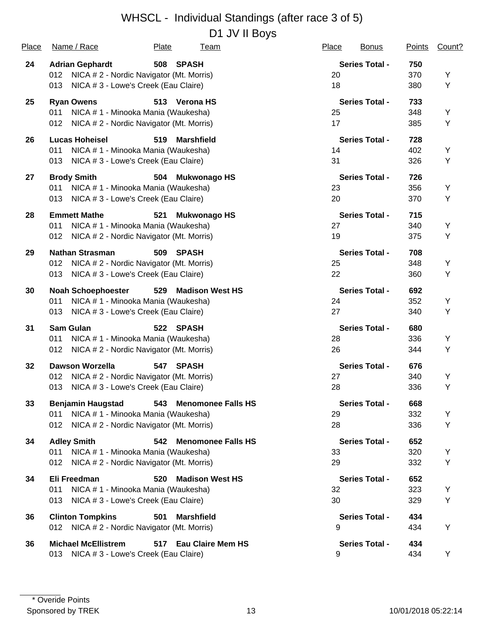D1 JV II Boys

| <b>Place</b> | Name / Race                                     | <b>Plate</b> | <u>Team</u>              | <b>Place</b> | <b>Bonus</b>          | <b>Points</b> | Count? |
|--------------|-------------------------------------------------|--------------|--------------------------|--------------|-----------------------|---------------|--------|
| 24           | <b>Adrian Gephardt</b>                          |              | 508 SPASH                |              | <b>Series Total -</b> | 750           |        |
|              | NICA # 2 - Nordic Navigator (Mt. Morris)<br>012 |              |                          | 20           |                       | 370           | Y      |
|              | NICA # 3 - Lowe's Creek (Eau Claire)<br>013     |              |                          | 18           |                       | 380           | Υ      |
| 25           | <b>Ryan Owens</b>                               |              | 513 Verona HS            |              | <b>Series Total -</b> | 733           |        |
|              | NICA # 1 - Minooka Mania (Waukesha)<br>011      |              |                          | 25           |                       | 348           | Υ      |
|              | 012<br>NICA # 2 - Nordic Navigator (Mt. Morris) |              |                          | 17           |                       | 385           | Υ      |
| 26           | <b>Lucas Hoheisel</b>                           | 519          | Marshfield               |              | <b>Series Total -</b> | 728           |        |
|              | NICA # 1 - Minooka Mania (Waukesha)<br>011      |              |                          | 14           |                       | 402           | Υ      |
|              | 013<br>NICA # 3 - Lowe's Creek (Eau Claire)     |              |                          | 31           |                       | 326           | Υ      |
| 27           | <b>Brody Smith</b>                              |              | 504 Mukwonago HS         |              | <b>Series Total -</b> | 726           |        |
|              | NICA # 1 - Minooka Mania (Waukesha)<br>011      |              |                          | 23           |                       | 356           | Υ      |
|              | NICA # 3 - Lowe's Creek (Eau Claire)<br>013     |              |                          | 20           |                       | 370           | Υ      |
| 28           | <b>Emmett Mathe</b>                             | 521          | <b>Mukwonago HS</b>      |              | <b>Series Total -</b> | 715           |        |
|              | 011<br>NICA # 1 - Minooka Mania (Waukesha)      |              |                          | 27           |                       | 340           | Υ      |
|              | 012<br>NICA # 2 - Nordic Navigator (Mt. Morris) |              |                          | 19           |                       | 375           | Υ      |
| 29           | <b>Nathan Strasman</b>                          | 509          | SPASH                    |              | <b>Series Total -</b> | 708           |        |
|              | 012<br>NICA # 2 - Nordic Navigator (Mt. Morris) |              |                          | 25           |                       | 348           | Υ      |
|              | 013<br>NICA # 3 - Lowe's Creek (Eau Claire)     |              |                          | 22           |                       | 360           | Υ      |
| 30           | <b>Noah Schoephoester</b>                       | 529          | <b>Madison West HS</b>   |              | <b>Series Total -</b> | 692           |        |
|              | NICA # 1 - Minooka Mania (Waukesha)<br>011      |              |                          | 24           |                       | 352           | Υ      |
|              | NICA # 3 - Lowe's Creek (Eau Claire)<br>013     |              |                          | 27           |                       | 340           | Υ      |
| 31           | <b>Sam Gulan</b>                                |              | 522 SPASH                |              | <b>Series Total -</b> | 680           |        |
|              | NICA # 1 - Minooka Mania (Waukesha)<br>011      |              |                          | 28           |                       | 336           | Y      |
|              | NICA # 2 - Nordic Navigator (Mt. Morris)<br>012 |              |                          | 26           |                       | 344           | Υ      |
| 32           | <b>Dawson Worzella</b>                          | 547          | <b>SPASH</b>             |              | <b>Series Total -</b> | 676           |        |
|              | NICA # 2 - Nordic Navigator (Mt. Morris)<br>012 |              |                          | 27           |                       | 340           | Y      |
|              | NICA # 3 - Lowe's Creek (Eau Claire)<br>013     |              |                          | 28           |                       | 336           | Υ      |
| 33           | Benjamin Haugstad 543 Menomonee Falls HS        |              |                          |              | <b>Series Total -</b> | 668           |        |
|              | NICA # 1 - Minooka Mania (Waukesha)<br>011      |              |                          | 29           |                       | 332           | Y      |
|              | NICA # 2 - Nordic Navigator (Mt. Morris)<br>012 |              |                          | 28           |                       | 336           | Υ      |
| 34           | <b>Adley Smith</b>                              |              | 542 Menomonee Falls HS   |              | <b>Series Total -</b> | 652           |        |
|              | NICA # 1 - Minooka Mania (Waukesha)<br>011      |              |                          | 33           |                       | 320           | Υ      |
|              | NICA # 2 - Nordic Navigator (Mt. Morris)<br>012 |              |                          | 29           |                       | 332           | Υ      |
| 34           | Eli Freedman                                    |              | 520 Madison West HS      |              | <b>Series Total -</b> | 652           |        |
|              | 011<br>NICA # 1 - Minooka Mania (Waukesha)      |              |                          | 32           |                       | 323           | Y      |
|              | NICA # 3 - Lowe's Creek (Eau Claire)<br>013     |              |                          | 30           |                       | 329           | Υ      |
| 36           | <b>Clinton Tompkins</b>                         | 501          | <b>Marshfield</b>        |              | <b>Series Total -</b> | 434           |        |
|              | 012 NICA # 2 - Nordic Navigator (Mt. Morris)    |              |                          | 9            |                       | 434           | Υ      |
| 36           | <b>Michael McEllistrem</b>                      | 517          | <b>Eau Claire Mem HS</b> |              | <b>Series Total -</b> | 434           |        |
|              | NICA # 3 - Lowe's Creek (Eau Claire)<br>013     |              |                          | 9            |                       | 434           | Y      |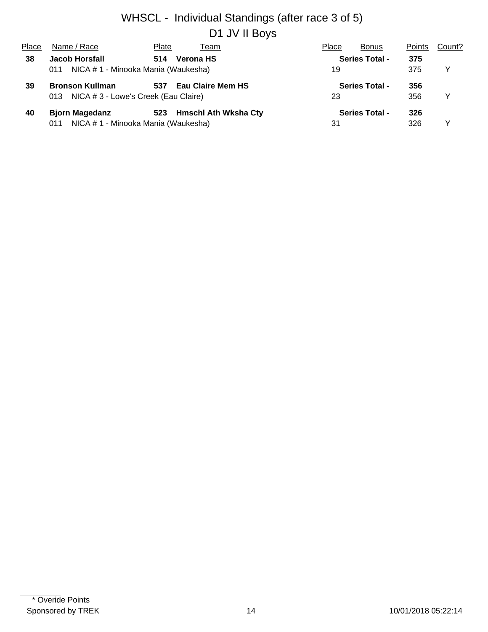# WHSCL - Individual Standings (after race 3 of 5) D1 JV II Boys

| Place | Name / Race                                 | Plate | Team                     | Place | <b>Bonus</b>          | <b>Points</b> | Count? |
|-------|---------------------------------------------|-------|--------------------------|-------|-----------------------|---------------|--------|
| 38    | <b>Jacob Horsfall</b>                       | 514   | Verona HS                |       | <b>Series Total -</b> | 375           |        |
|       | NICA # 1 - Minooka Mania (Waukesha)<br>011  |       | 19                       |       | 375                   | Y             |        |
| 39    | <b>Bronson Kullman</b>                      | 537   | <b>Eau Claire Mem HS</b> |       | <b>Series Total -</b> | 356           |        |
|       | NICA # 3 - Lowe's Creek (Eau Claire)<br>013 |       | 23                       |       | 356                   | Y             |        |
| 40    | <b>Bjorn Magedanz</b>                       |       | 523 Hmschl Ath Wksha Cty |       | <b>Series Total -</b> | 326           |        |
|       | NICA # 1 - Minooka Mania (Waukesha)<br>011  |       |                          | 31    |                       | 326           |        |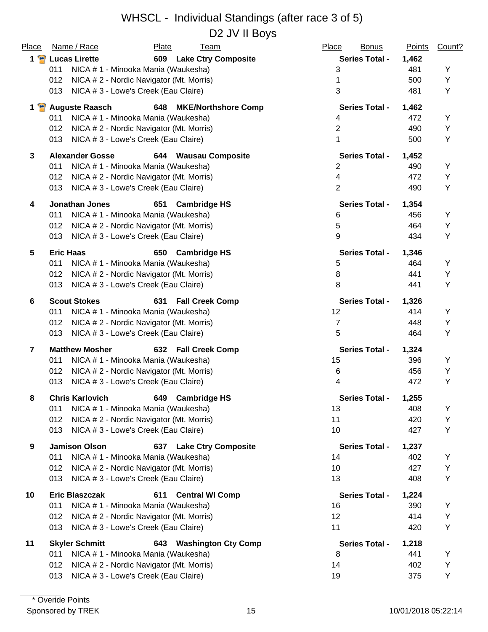D2 JV II Boys

| Place           | Name / Race                                     | Plate<br><u>Team</u>          | Place<br><b>Bonus</b> | <b>Points</b> | Count? |
|-----------------|-------------------------------------------------|-------------------------------|-----------------------|---------------|--------|
|                 | 1 P Lucas Lirette                               | 609 Lake Ctry Composite       | <b>Series Total -</b> | 1,462         |        |
|                 | 011<br>NICA # 1 - Minooka Mania (Waukesha)      |                               | 3                     | 481           | Y      |
|                 | 012<br>NICA # 2 - Nordic Navigator (Mt. Morris) |                               | 1                     | 500           | Y      |
|                 | NICA # 3 - Lowe's Creek (Eau Claire)<br>013     |                               | 3                     | 481           | Y      |
|                 | 1 <b>P</b> Auguste Raasch                       | 648 MKE/Northshore Comp       | <b>Series Total -</b> | 1,462         |        |
|                 | NICA # 1 - Minooka Mania (Waukesha)<br>011      |                               | 4                     | 472           | Y      |
|                 | 012<br>NICA # 2 - Nordic Navigator (Mt. Morris) |                               | $\overline{2}$        | 490           | Υ      |
|                 | NICA # 3 - Lowe's Creek (Eau Claire)<br>013     |                               | 1                     | 500           | Y      |
| 3               | <b>Alexander Gosse</b>                          | 644 Wausau Composite          | <b>Series Total -</b> | 1,452         |        |
|                 | 011<br>NICA # 1 - Minooka Mania (Waukesha)      |                               | $\overline{2}$        | 490           | Y      |
|                 | NICA # 2 - Nordic Navigator (Mt. Morris)<br>012 |                               | 4                     | 472           | Y      |
|                 | NICA # 3 - Lowe's Creek (Eau Claire)<br>013     |                               | $\overline{2}$        | 490           | Y      |
| 4               | <b>Jonathan Jones</b>                           | <b>Cambridge HS</b><br>651    | <b>Series Total -</b> | 1,354         |        |
|                 | NICA # 1 - Minooka Mania (Waukesha)<br>011      |                               | 6                     | 456           | Υ      |
|                 | 012<br>NICA # 2 - Nordic Navigator (Mt. Morris) |                               | 5                     | 464           | Υ      |
|                 | 013<br>NICA # 3 - Lowe's Creek (Eau Claire)     |                               | 9                     | 434           | Υ      |
| $5\phantom{.0}$ | <b>Eric Haas</b>                                | <b>Cambridge HS</b><br>650    | <b>Series Total -</b> | 1,346         |        |
|                 | 011<br>NICA # 1 - Minooka Mania (Waukesha)      |                               | 5                     | 464           | Υ      |
|                 | NICA # 2 - Nordic Navigator (Mt. Morris)<br>012 |                               | 8                     | 441           | Υ      |
|                 | NICA # 3 - Lowe's Creek (Eau Claire)<br>013     |                               | 8                     | 441           | Υ      |
| 6               | <b>Scout Stokes</b>                             | 631<br><b>Fall Creek Comp</b> | <b>Series Total -</b> | 1,326         |        |
|                 | NICA # 1 - Minooka Mania (Waukesha)<br>011      |                               | 12                    | 414           | Y      |
|                 | NICA # 2 - Nordic Navigator (Mt. Morris)<br>012 |                               | $\overline{7}$        | 448           | Υ      |
|                 | 013<br>NICA # 3 - Lowe's Creek (Eau Claire)     |                               | 5                     | 464           | Υ      |
| $\overline{7}$  | <b>Matthew Mosher</b>                           | 632 Fall Creek Comp           | <b>Series Total -</b> | 1,324         |        |
|                 | 011<br>NICA # 1 - Minooka Mania (Waukesha)      |                               | 15                    | 396           | Υ      |
|                 | 012<br>NICA # 2 - Nordic Navigator (Mt. Morris) |                               | 6                     | 456           | Υ      |
|                 | 013<br>NICA # 3 - Lowe's Creek (Eau Claire)     |                               | 4                     | 472           | Y      |
| 8               | <b>Chris Karlovich</b>                          | 649 Cambridge HS              | <b>Series Total -</b> | 1,255         |        |
|                 | NICA # 1 - Minooka Mania (Waukesha)<br>011      |                               | 13                    | 408           | Υ      |
|                 | NICA # 2 - Nordic Navigator (Mt. Morris)<br>012 |                               | 11                    | 420           | Υ      |
|                 | NICA # 3 - Lowe's Creek (Eau Claire)<br>013     |                               | 10                    | 427           | Υ      |
| 9               | <b>Jamison Olson</b>                            | 637 Lake Ctry Composite       | <b>Series Total -</b> | 1,237         |        |
|                 | 011<br>NICA # 1 - Minooka Mania (Waukesha)      |                               | 14                    | 402           | Υ      |
|                 | NICA # 2 - Nordic Navigator (Mt. Morris)<br>012 |                               | 10                    | 427           | Υ      |
|                 | 013<br>NICA # 3 - Lowe's Creek (Eau Claire)     |                               | 13                    | 408           | Υ      |
| 10              | <b>Eric Blaszczak</b>                           | 611<br><b>Central WI Comp</b> | <b>Series Total -</b> | 1,224         |        |
|                 | NICA # 1 - Minooka Mania (Waukesha)<br>011      |                               | 16                    | 390           | Υ      |
|                 | NICA # 2 - Nordic Navigator (Mt. Morris)<br>012 |                               | 12                    | 414           | Υ      |
|                 | 013<br>NICA # 3 - Lowe's Creek (Eau Claire)     |                               | 11                    | 420           | Υ      |
| 11              | <b>Skyler Schmitt</b>                           | 643 Washington Cty Comp       | <b>Series Total -</b> | 1,218         |        |
|                 | NICA # 1 - Minooka Mania (Waukesha)<br>011      |                               | 8                     | 441           | Υ      |
|                 | NICA # 2 - Nordic Navigator (Mt. Morris)<br>012 |                               | 14                    | 402           | Υ      |
|                 | NICA #3 - Lowe's Creek (Eau Claire)<br>013      |                               | 19                    | 375           | Υ      |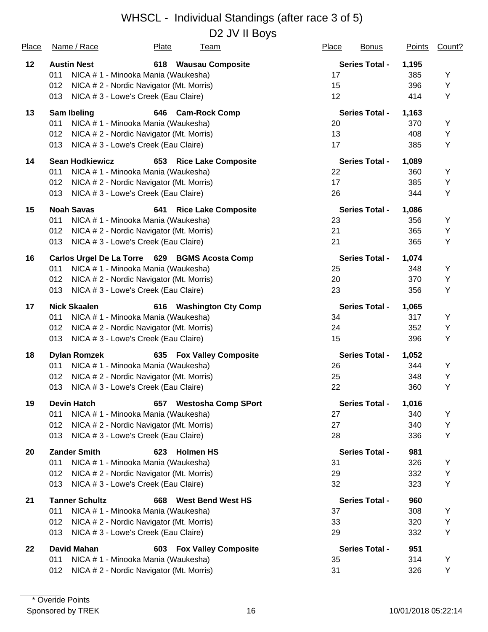D2 JV II Boys

| <u>Place</u> | Name / Race                                   | <b>Plate</b>                             | <u>Team</u>                 | <b>Place</b> | <b>Bonus</b>          | <b>Points</b> | Count? |
|--------------|-----------------------------------------------|------------------------------------------|-----------------------------|--------------|-----------------------|---------------|--------|
| 12           | <b>Austin Nest</b>                            |                                          | 618 Wausau Composite        |              | <b>Series Total -</b> | 1,195         |        |
|              | 011                                           | NICA # 1 - Minooka Mania (Waukesha)      |                             | 17           |                       | 385           | Y      |
|              | 012                                           | NICA # 2 - Nordic Navigator (Mt. Morris) |                             | 15           |                       | 396           | Y      |
|              | 013                                           | NICA # 3 - Lowe's Creek (Eau Claire)     |                             | 12           |                       | 414           | Υ      |
| 13           | <b>Sam Ibeling</b>                            |                                          | 646 Cam-Rock Comp           |              | <b>Series Total -</b> | 1,163         |        |
|              | 011                                           | NICA # 1 - Minooka Mania (Waukesha)      |                             | 20           |                       | 370           | Y      |
|              | 012                                           | NICA # 2 - Nordic Navigator (Mt. Morris) |                             | 13           |                       | 408           | Υ      |
|              | 013                                           | NICA #3 - Lowe's Creek (Eau Claire)      |                             | 17           |                       | 385           | Υ      |
| 14           | <b>Sean Hodkiewicz</b>                        |                                          | 653 Rice Lake Composite     |              | <b>Series Total -</b> | 1,089         |        |
|              | 011                                           | NICA # 1 - Minooka Mania (Waukesha)      |                             | 22           |                       | 360           | Y      |
|              | 012                                           | NICA # 2 - Nordic Navigator (Mt. Morris) |                             | 17           |                       | 385           | Υ      |
|              | 013                                           | NICA # 3 - Lowe's Creek (Eau Claire)     |                             | 26           |                       | 344           | Υ      |
| 15           | <b>Noah Savas</b>                             | 641                                      | <b>Rice Lake Composite</b>  |              | <b>Series Total -</b> | 1,086         |        |
|              | 011                                           | NICA # 1 - Minooka Mania (Waukesha)      |                             | 23           |                       | 356           | Y      |
|              | 012                                           | NICA # 2 - Nordic Navigator (Mt. Morris) |                             | 21           |                       | 365           | Υ      |
|              | 013                                           | NICA # 3 - Lowe's Creek (Eau Claire)     |                             | 21           |                       | 365           | Υ      |
| 16           | Carlos Urgel De La Torre 629 BGMS Acosta Comp |                                          |                             |              | <b>Series Total -</b> | 1,074         |        |
|              | 011                                           | NICA # 1 - Minooka Mania (Waukesha)      |                             | 25           |                       | 348           | Υ      |
|              | 012                                           | NICA # 2 - Nordic Navigator (Mt. Morris) |                             | 20           |                       | 370           | Υ      |
|              | 013                                           | NICA # 3 - Lowe's Creek (Eau Claire)     |                             | 23           |                       | 356           | Υ      |
| 17           | <b>Nick Skaalen</b>                           |                                          | 616 Washington Cty Comp     |              | <b>Series Total -</b> | 1,065         |        |
|              | 011                                           | NICA # 1 - Minooka Mania (Waukesha)      |                             | 34           |                       | 317           | Υ      |
|              | 012                                           | NICA # 2 - Nordic Navigator (Mt. Morris) |                             | 24           |                       | 352           | Υ      |
|              | 013                                           | NICA # 3 - Lowe's Creek (Eau Claire)     |                             | 15           |                       | 396           | Υ      |
| 18           | <b>Dylan Romzek</b>                           |                                          | 635 Fox Valley Composite    |              | <b>Series Total -</b> | 1,052         |        |
|              | 011                                           | NICA # 1 - Minooka Mania (Waukesha)      |                             | 26           |                       | 344           | Y      |
|              | 012                                           | NICA # 2 - Nordic Navigator (Mt. Morris) |                             | 25           |                       | 348           | Υ      |
|              | 013                                           | NICA # 3 - Lowe's Creek (Eau Claire)     |                             | 22           |                       | 360           | Υ      |
| 19           | <b>Devin Hatch</b>                            |                                          | 657 Westosha Comp SPort     |              | <b>Series Total -</b> | 1,016         |        |
|              | 011                                           | NICA # 1 - Minooka Mania (Waukesha)      |                             | 27           |                       | 340           | Y      |
|              | 012                                           | NICA # 2 - Nordic Navigator (Mt. Morris) |                             | 27           |                       | 340           | Y      |
|              | 013                                           | NICA # 3 - Lowe's Creek (Eau Claire)     |                             | 28           |                       | 336           | Υ      |
| 20           | <b>Zander Smith</b>                           | 623                                      | <b>Holmen HS</b>            |              | <b>Series Total -</b> | 981           |        |
|              | 011                                           | NICA # 1 - Minooka Mania (Waukesha)      |                             | 31           |                       | 326           | Y      |
|              | 012                                           | NICA # 2 - Nordic Navigator (Mt. Morris) |                             | 29           |                       | 332           | Υ      |
|              | 013                                           | NICA # 3 - Lowe's Creek (Eau Claire)     |                             | 32           |                       | 323           | Υ      |
| 21           | <b>Tanner Schultz</b>                         | 668                                      | <b>West Bend West HS</b>    |              | <b>Series Total -</b> | 960           |        |
|              | 011                                           | NICA #1 - Minooka Mania (Waukesha)       |                             | 37           |                       | 308           | Y      |
|              | 012                                           | NICA # 2 - Nordic Navigator (Mt. Morris) |                             | 33           |                       | 320           | Y      |
|              | 013                                           | NICA # 3 - Lowe's Creek (Eau Claire)     |                             | 29           |                       | 332           | Υ      |
| 22           | <b>David Mahan</b>                            | 603                                      | <b>Fox Valley Composite</b> |              | <b>Series Total -</b> | 951           |        |
|              | 011                                           | NICA # 1 - Minooka Mania (Waukesha)      |                             | 35           |                       | 314           | Υ      |
|              | 012                                           | NICA # 2 - Nordic Navigator (Mt. Morris) |                             | 31           |                       | 326           | Y      |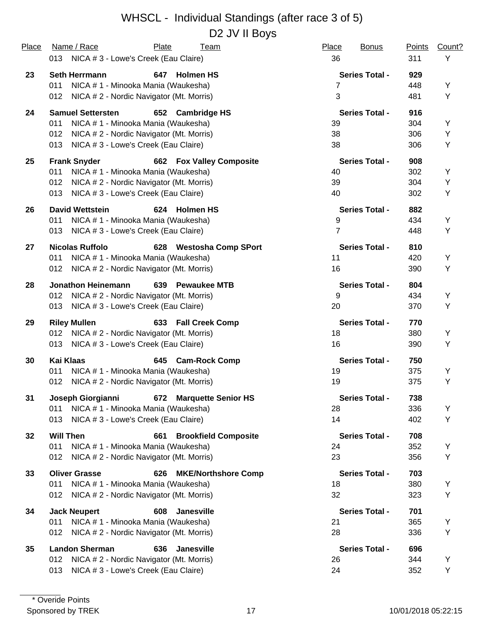#### WHSCL - Individual Standings (after race 3 of 5) D<sub>2</sub> JV II Bovs

| Place | Name / Race                                     | Plate<br>Team                      | Place<br><b>Bonus</b> | <b>Points</b> | Count? |
|-------|-------------------------------------------------|------------------------------------|-----------------------|---------------|--------|
|       | 013 NICA # 3 - Lowe's Creek (Eau Claire)        |                                    | 36                    | 311           | Y      |
| 23    | <b>Seth Herrmann</b>                            | 647 Holmen HS                      | <b>Series Total -</b> | 929           |        |
|       | NICA #1 - Minooka Mania (Waukesha)<br>011       |                                    | 7                     | 448           | Y      |
|       | 012<br>NICA # 2 - Nordic Navigator (Mt. Morris) |                                    | $\mathbf{3}$          | 481           | Y      |
| 24    | <b>Samuel Settersten</b>                        | 652 Cambridge HS                   | <b>Series Total -</b> | 916           |        |
|       | NICA # 1 - Minooka Mania (Waukesha)<br>011      |                                    | 39                    | 304           | Y      |
|       | NICA # 2 - Nordic Navigator (Mt. Morris)<br>012 |                                    | 38                    | 306           | Y      |
|       | NICA # 3 - Lowe's Creek (Eau Claire)<br>013     |                                    | 38                    | 306           | Y      |
| 25    | <b>Frank Snyder</b>                             | <b>662 Fox Valley Composite</b>    | <b>Series Total -</b> | 908           |        |
|       | NICA # 1 - Minooka Mania (Waukesha)<br>011      |                                    | 40                    | 302           | Υ      |
|       | NICA # 2 - Nordic Navigator (Mt. Morris)<br>012 |                                    | 39                    | 304           | Υ      |
|       | NICA #3 - Lowe's Creek (Eau Claire)<br>013      |                                    | 40                    | 302           | Υ      |
| 26    | <b>David Wettstein</b>                          | 624 Holmen HS                      | <b>Series Total -</b> | 882           |        |
|       | NICA # 1 - Minooka Mania (Waukesha)<br>011      |                                    | 9                     | 434           | Y      |
|       | NICA #3 - Lowe's Creek (Eau Claire)<br>013      |                                    | $\overline{7}$        | 448           | Y      |
| 27    | <b>Nicolas Ruffolo</b>                          | 628 Westosha Comp SPort            | <b>Series Total -</b> | 810           |        |
|       | NICA # 1 - Minooka Mania (Waukesha)<br>011      |                                    | 11                    | 420           | Y      |
|       | 012<br>NICA # 2 - Nordic Navigator (Mt. Morris) |                                    | 16                    | 390           | Y      |
| 28    | <b>Jonathon Heinemann</b>                       | 639<br><b>Pewaukee MTB</b>         | <b>Series Total -</b> | 804           |        |
|       | NICA # 2 - Nordic Navigator (Mt. Morris)<br>012 |                                    | 9                     | 434           | Y      |
|       | NICA # 3 - Lowe's Creek (Eau Claire)<br>013     |                                    | 20                    | 370           | Y      |
| 29    | <b>Riley Mullen</b>                             | 633<br><b>Fall Creek Comp</b>      | <b>Series Total -</b> | 770           |        |
|       | 012<br>NICA # 2 - Nordic Navigator (Mt. Morris) |                                    | 18                    | 380           | Υ      |
|       | NICA # 3 - Lowe's Creek (Eau Claire)<br>013     |                                    | 16                    | 390           | Y      |
| 30    | <b>Kai Klaas</b>                                | 645<br><b>Cam-Rock Comp</b>        | <b>Series Total -</b> | 750           |        |
|       | 011<br>NICA # 1 - Minooka Mania (Waukesha)      |                                    | 19                    | 375           | Υ      |
|       | 012<br>NICA # 2 - Nordic Navigator (Mt. Morris) |                                    | 19                    | 375           | Υ      |
| 31    | Joseph Giorgianni                               | <b>Marquette Senior HS</b><br>672  | <b>Series Total -</b> | 738           |        |
|       | NICA # 1 - Minooka Mania (Waukesha)<br>011      |                                    | 28                    | 336           | Y      |
|       | 013<br>NICA # 3 - Lowe's Creek (Eau Claire)     |                                    | 14                    | 402           | Y      |
| 32    | <b>Will Then</b>                                | <b>Brookfield Composite</b><br>661 | <b>Series Total -</b> | 708           |        |
|       | 011<br>NICA # 1 - Minooka Mania (Waukesha)      |                                    | 24                    | 352           | Y      |
|       | NICA # 2 - Nordic Navigator (Mt. Morris)<br>012 |                                    | 23                    | 356           | Υ      |
| 33    | <b>Oliver Grasse</b>                            | <b>MKE/Northshore Comp</b><br>626  | <b>Series Total -</b> | 703           |        |
|       | NICA #1 - Minooka Mania (Waukesha)<br>011       |                                    | 18                    | 380           | Y      |
|       | NICA # 2 - Nordic Navigator (Mt. Morris)<br>012 |                                    | 32                    | 323           | Υ      |
| 34    | <b>Jack Neupert</b>                             | Janesville<br>608                  | <b>Series Total -</b> | 701           |        |
|       | NICA # 1 - Minooka Mania (Waukesha)<br>011      |                                    | 21                    | 365           | Υ      |
|       | NICA # 2 - Nordic Navigator (Mt. Morris)<br>012 |                                    | 28                    | 336           | Υ      |
| 35    | <b>Landon Sherman</b>                           | 636<br>Janesville                  | <b>Series Total -</b> | 696           |        |
|       | 012<br>NICA # 2 - Nordic Navigator (Mt. Morris) |                                    | 26                    | 344           | Y      |
|       | NICA # 3 - Lowe's Creek (Eau Claire)<br>013     |                                    | 24                    | 352           | Y      |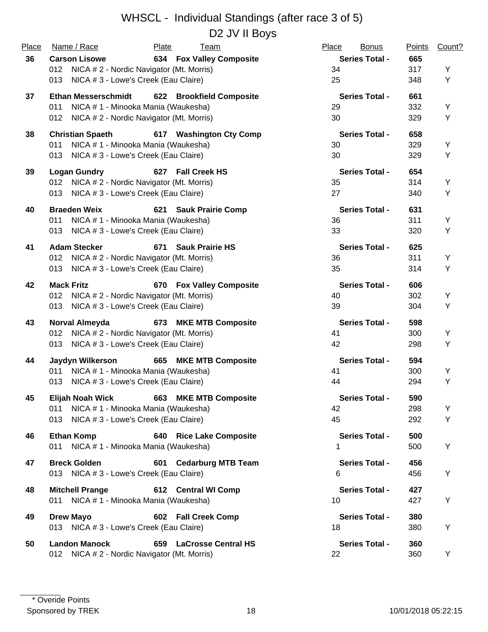D2 JV II Boys

| Place | Name / Race                                     | Plate<br><b>Team</b>            | Place<br><b>Bonus</b> | <b>Points</b> | Count? |
|-------|-------------------------------------------------|---------------------------------|-----------------------|---------------|--------|
| 36    | <b>Carson Lisowe</b>                            | <b>634 Fox Valley Composite</b> | <b>Series Total -</b> | 665           |        |
|       | 012 NICA # 2 - Nordic Navigator (Mt. Morris)    |                                 | 34                    | 317           | Υ      |
|       | NICA # 3 - Lowe's Creek (Eau Claire)<br>013     |                                 | 25                    | 348           | Υ      |
| 37    | <b>Ethan Messerschmidt</b>                      | 622 Brookfield Composite        | <b>Series Total -</b> | 661           |        |
|       | NICA # 1 - Minooka Mania (Waukesha)<br>011      |                                 | 29                    | 332           | Υ      |
|       | NICA # 2 - Nordic Navigator (Mt. Morris)<br>012 |                                 | 30                    | 329           | Υ      |
| 38    | <b>Christian Spaeth</b>                         | 617 Washington Cty Comp         | <b>Series Total -</b> | 658           |        |
|       | 011<br>NICA # 1 - Minooka Mania (Waukesha)      |                                 | 30                    | 329           | Υ      |
|       | NICA # 3 - Lowe's Creek (Eau Claire)<br>013     |                                 | 30                    | 329           | Υ      |
| 39    | <b>Logan Gundry</b>                             | 627 Fall Creek HS               | <b>Series Total -</b> | 654           |        |
|       | 012 NICA # 2 - Nordic Navigator (Mt. Morris)    |                                 | 35                    | 314           | Υ      |
|       | NICA # 3 - Lowe's Creek (Eau Claire)<br>013     |                                 | 27                    | 340           | Υ      |
| 40    | <b>Braeden Weix</b>                             | 621 Sauk Prairie Comp           | <b>Series Total -</b> | 631           |        |
|       | NICA # 1 - Minooka Mania (Waukesha)<br>011      |                                 | 36                    | 311           | Υ      |
|       | NICA # 3 - Lowe's Creek (Eau Claire)<br>013     |                                 | 33                    | 320           | Υ      |
| 41    | <b>Adam Stecker</b>                             | 671<br><b>Sauk Prairie HS</b>   | <b>Series Total -</b> | 625           |        |
|       | 012 NICA # 2 - Nordic Navigator (Mt. Morris)    |                                 | 36                    | 311           | Υ      |
|       | 013<br>NICA #3 - Lowe's Creek (Eau Claire)      |                                 | 35                    | 314           | Υ      |
| 42    | <b>Mack Fritz</b>                               | 670 Fox Valley Composite        | <b>Series Total -</b> | 606           |        |
|       | 012 NICA # 2 - Nordic Navigator (Mt. Morris)    |                                 | 40                    | 302           | Υ      |
|       | NICA # 3 - Lowe's Creek (Eau Claire)<br>013     |                                 | 39                    | 304           | Υ      |
| 43    | Norval Almeyda                                  | 673 MKE MTB Composite           | <b>Series Total -</b> | 598           |        |
|       | 012 NICA # 2 - Nordic Navigator (Mt. Morris)    |                                 | 41                    | 300           | Υ      |
|       | NICA # 3 - Lowe's Creek (Eau Claire)<br>013     |                                 | 42                    | 298           | Υ      |
| 44    | Jaydyn Wilkerson                                | 665 MKE MTB Composite           | <b>Series Total -</b> | 594           |        |
|       | NICA # 1 - Minooka Mania (Waukesha)<br>011      |                                 | 41                    | 300           | Υ      |
|       | NICA # 3 - Lowe's Creek (Eau Claire)<br>013     |                                 | 44                    | 294           | Υ      |
| 45    | Elijah Noah Wick                                | 663<br><b>MKE MTB Composite</b> | <b>Series Total -</b> | 590           |        |
|       | NICA # 1 - Minooka Mania (Waukesha)<br>011      |                                 | 42                    | 298           | Y      |
|       | 013 NICA # 3 - Lowe's Creek (Eau Claire)        |                                 | 45                    | 292           | Υ      |
| 46    | <b>Ethan Komp</b>                               | 640 Rice Lake Composite         | <b>Series Total -</b> | 500           |        |
|       | 011 NICA # 1 - Minooka Mania (Waukesha)         |                                 | 1                     | 500           | Y      |
| 47    | <b>Breck Golden</b>                             | 601 Cedarburg MTB Team          | <b>Series Total -</b> | 456           |        |
|       | 013 NICA # 3 - Lowe's Creek (Eau Claire)        |                                 | 6                     | 456           | Y      |
| 48    | <b>Mitchell Prange</b>                          | 612 Central WI Comp             | <b>Series Total -</b> | 427           |        |
|       | 011 NICA # 1 - Minooka Mania (Waukesha)         |                                 | 10                    | 427           | Υ      |
| 49    | <b>Drew Mayo</b>                                | 602 Fall Creek Comp             | <b>Series Total -</b> | 380           |        |
|       | 013 NICA # 3 - Lowe's Creek (Eau Claire)        |                                 | 18                    | 380           | Y      |
| 50    | <b>Landon Manock</b>                            | 659 LaCrosse Central HS         | <b>Series Total -</b> | 360           |        |
|       | 012 NICA # 2 - Nordic Navigator (Mt. Morris)    |                                 | 22                    | 360           | Y      |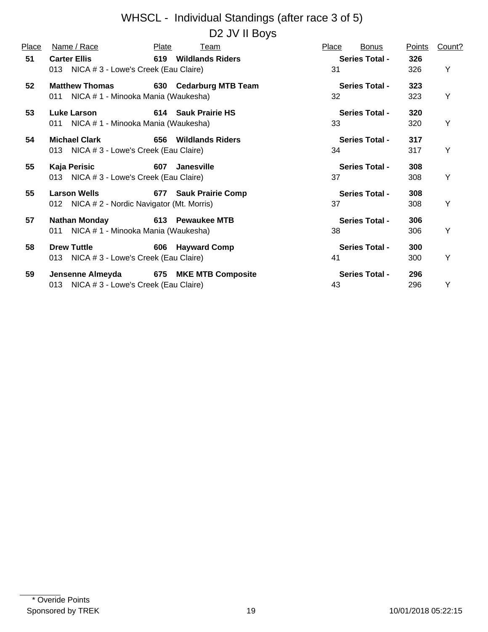D2 JV II Boys

| Place | Name / Race                                                                        | Plate | Team                   | Place | <b>Bonus</b>          | <u>Points</u> | Count? |
|-------|------------------------------------------------------------------------------------|-------|------------------------|-------|-----------------------|---------------|--------|
| 51    | <b>Carter Ellis</b><br>013 NICA # 3 - Lowe's Creek (Eau Claire)                    |       | 619 Wildlands Riders   | 31    | <b>Series Total -</b> | 326<br>326    | Y      |
| 52    | <b>Matthew Thomas</b><br>011 NICA # 1 - Minooka Mania (Waukesha)                   |       | 630 Cedarburg MTB Team | 32    | <b>Series Total -</b> | 323<br>323    | Y      |
| 53    | Luke Larson<br>011 NICA # 1 - Minooka Mania (Waukesha)                             |       | 614 Sauk Prairie HS    | 33    | <b>Series Total -</b> | 320<br>320    | Y      |
| 54    | <b>Michael Clark</b><br>013 NICA # 3 - Lowe's Creek (Eau Claire)                   |       | 656 Wildlands Riders   | 34    | <b>Series Total -</b> | 317<br>317    | Y      |
| 55    | Kaja Perisic<br>013 NICA # 3 - Lowe's Creek (Eau Claire)                           |       | 607 Janesville         | 37    | <b>Series Total -</b> | 308<br>308    | Y      |
| 55    | Larson Wells <b>Example 20</b><br>012 NICA # 2 - Nordic Navigator (Mt. Morris)     |       | 677 Sauk Prairie Comp  | 37    | <b>Series Total -</b> | 308<br>308    | Y      |
| 57    | <b>Nathan Monday</b><br>011 NICA # 1 - Minooka Mania (Waukesha)                    |       | 613 Pewaukee MTB       | 38    | <b>Series Total -</b> | 306<br>306    | Y      |
| 58    | <b>Drew Tuttle</b><br>013 NICA # 3 - Lowe's Creek (Eau Claire)                     |       | 606 Hayward Comp       | 41    | <b>Series Total -</b> | 300<br>300    | Υ      |
| 59    | Jensenne Almeyda 675 MKE MTB Composite<br>013 NICA # 3 - Lowe's Creek (Eau Claire) |       |                        | 43    | <b>Series Total -</b> | 296<br>296    | Y      |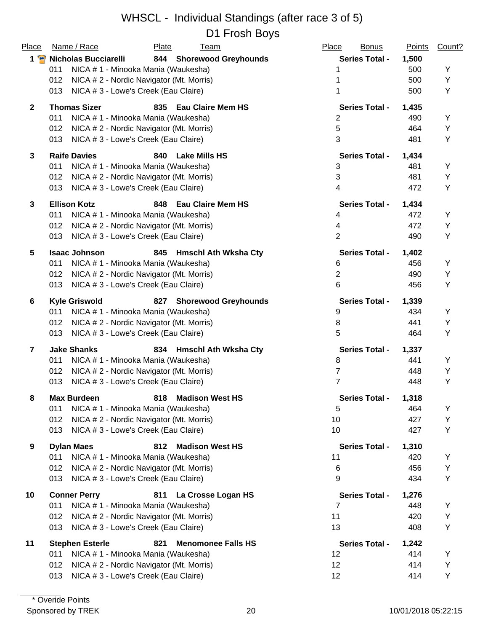| Place<br>$1$ $\bullet$ | Name / Race                                                               | Plate<br><u>Team</u>             | Place<br><b>Bonus</b> | <b>Points</b> | Count? |
|------------------------|---------------------------------------------------------------------------|----------------------------------|-----------------------|---------------|--------|
|                        | <b>Nicholas Bucciarelli</b><br>NICA # 1 - Minooka Mania (Waukesha)<br>011 | 844 Shorewood Greyhounds         | <b>Series Total -</b> | 1,500<br>500  | Υ      |
|                        | 012<br>NICA # 2 - Nordic Navigator (Mt. Morris)                           |                                  |                       | 500           | Υ      |
|                        | NICA #3 - Lowe's Creek (Eau Claire)<br>013                                |                                  |                       | 500           | Υ      |
| $\overline{2}$         | <b>Thomas Sizer</b>                                                       | 835 Eau Claire Mem HS            | <b>Series Total -</b> | 1,435         |        |
|                        | 011<br>NICA # 1 - Minooka Mania (Waukesha)                                |                                  | $\overline{2}$        | 490           | Υ      |
|                        | 012<br>NICA # 2 - Nordic Navigator (Mt. Morris)                           |                                  | 5                     | 464           | Υ      |
|                        | 013<br>NICA # 3 - Lowe's Creek (Eau Claire)                               |                                  | 3                     | 481           | Υ      |
| 3                      | <b>Raife Davies</b>                                                       | <b>Lake Mills HS</b><br>840      | <b>Series Total -</b> | 1,434         |        |
|                        | 011<br>NICA # 1 - Minooka Mania (Waukesha)                                |                                  | 3                     | 481           | Υ      |
|                        | NICA # 2 - Nordic Navigator (Mt. Morris)<br>012                           |                                  | 3                     | 481           | Υ      |
|                        | NICA # 3 - Lowe's Creek (Eau Claire)<br>013                               |                                  | 4                     | 472           | Υ      |
| 3                      | <b>Ellison Kotz</b>                                                       | <b>Eau Claire Mem HS</b><br>848  | <b>Series Total -</b> | 1,434         |        |
|                        | 011<br>NICA # 1 - Minooka Mania (Waukesha)                                |                                  | 4                     | 472           | Υ      |
|                        | 012<br>NICA # 2 - Nordic Navigator (Mt. Morris)                           |                                  | 4                     | 472           | Υ      |
|                        | 013<br>NICA # 3 - Lowe's Creek (Eau Claire)                               |                                  | $\overline{2}$        | 490           | Y      |
| 5                      | <b>Isaac Johnson</b>                                                      | 845 Hmschl Ath Wksha Cty         | <b>Series Total -</b> | 1,402         |        |
|                        | 011<br>NICA # 1 - Minooka Mania (Waukesha)                                |                                  | 6                     | 456           | Υ      |
|                        | 012<br>NICA # 2 - Nordic Navigator (Mt. Morris)                           |                                  | $\overline{2}$        | 490           | Υ      |
|                        | NICA # 3 - Lowe's Creek (Eau Claire)<br>013                               |                                  | 6                     | 456           | Y      |
| 6                      | <b>Kyle Griswold</b>                                                      | 827 Shorewood Greyhounds         | <b>Series Total -</b> | 1,339         |        |
|                        | NICA # 1 - Minooka Mania (Waukesha)<br>011                                |                                  | 9                     | 434           | Υ      |
|                        | 012<br>NICA # 2 - Nordic Navigator (Mt. Morris)                           |                                  | 8                     | 441           | Υ      |
|                        | 013<br>NICA # 3 - Lowe's Creek (Eau Claire)                               |                                  | 5                     | 464           | Y      |
| $\overline{7}$         | <b>Jake Shanks</b>                                                        | 834 Hmschl Ath Wksha Cty         | <b>Series Total -</b> | 1,337         |        |
|                        | 011<br>NICA # 1 - Minooka Mania (Waukesha)                                |                                  | 8                     | 441           | Υ      |
|                        | 012<br>NICA # 2 - Nordic Navigator (Mt. Morris)                           |                                  | 7                     | 448           | Υ      |
|                        | 013<br>NICA # 3 - Lowe's Creek (Eau Claire)                               |                                  | $\overline{7}$        | 448           | Υ      |
| 8                      | <b>Max Burdeen</b>                                                        | 818 Madison West HS              | <b>Series Total -</b> | 1,318         |        |
|                        | 011<br>NICA # 1 - Minooka Mania (Waukesha)                                |                                  | 5                     | 464           | Y      |
|                        | 012<br>NICA # 2 - Nordic Navigator (Mt. Morris)                           |                                  | 10                    | 427           | Y      |
|                        | 013<br>NICA # 3 - Lowe's Creek (Eau Claire)                               |                                  | 10                    | 427           | Y      |
| 9                      | <b>Dylan Maes</b>                                                         | 812<br><b>Madison West HS</b>    | <b>Series Total -</b> | 1,310         |        |
|                        | NICA # 1 - Minooka Mania (Waukesha)<br>011                                |                                  | 11                    | 420           | Y      |
|                        | 012<br>NICA # 2 - Nordic Navigator (Mt. Morris)                           |                                  | 6                     | 456           | Y      |
|                        | NICA # 3 - Lowe's Creek (Eau Claire)<br>013                               |                                  | 9                     | 434           | Υ      |
| 10                     | <b>Conner Perry</b>                                                       | La Crosse Logan HS<br>811        | <b>Series Total -</b> | 1,276         |        |
|                        | NICA # 1 - Minooka Mania (Waukesha)<br>011                                |                                  | 7                     | 448           | Y      |
|                        | NICA # 2 - Nordic Navigator (Mt. Morris)<br>012                           |                                  | 11                    | 420           | Υ      |
|                        | 013<br>NICA # 3 - Lowe's Creek (Eau Claire)                               |                                  | 13                    | 408           | Υ      |
| 11                     | <b>Stephen Esterle</b>                                                    | <b>Menomonee Falls HS</b><br>821 | <b>Series Total -</b> | 1,242         |        |
|                        | NICA # 1 - Minooka Mania (Waukesha)<br>011                                |                                  | 12                    | 414           | Y      |
|                        | NICA # 2 - Nordic Navigator (Mt. Morris)<br>012                           |                                  | 12                    | 414           | Υ      |
|                        | NICA # 3 - Lowe's Creek (Eau Claire)<br>013                               |                                  | 12                    | 414           | Υ      |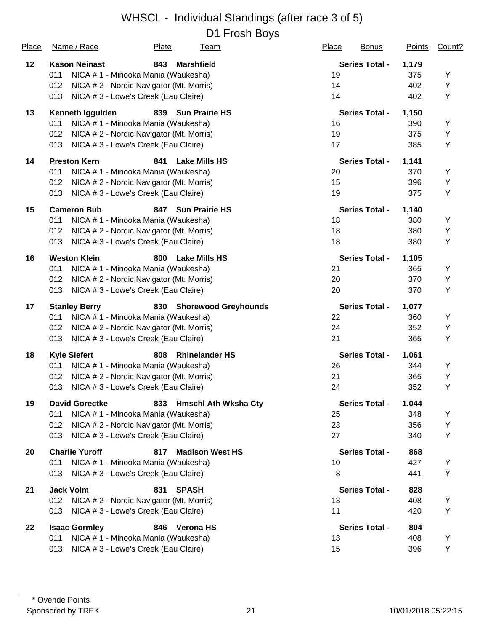| Place | Name / Race           | Plate<br><u>Team</u>                     | Place<br><b>Bonus</b> | Points | Count? |
|-------|-----------------------|------------------------------------------|-----------------------|--------|--------|
| 12    | <b>Kason Neinast</b>  | 843<br><b>Marshfield</b>                 | <b>Series Total -</b> | 1,179  |        |
|       | 011                   | NICA # 1 - Minooka Mania (Waukesha)      | 19                    | 375    | Υ      |
|       | 012                   | NICA # 2 - Nordic Navigator (Mt. Morris) | 14                    | 402    | Υ      |
|       | 013                   | NICA # 3 - Lowe's Creek (Eau Claire)     | 14                    | 402    | Υ      |
| 13    | Kenneth Iggulden      | 839 Sun Prairie HS                       | <b>Series Total -</b> | 1,150  |        |
|       | 011                   | NICA #1 - Minooka Mania (Waukesha)       | 16                    | 390    | Y      |
|       | 012                   | NICA # 2 - Nordic Navigator (Mt. Morris) | 19                    | 375    | Υ      |
|       | 013                   | NICA # 3 - Lowe's Creek (Eau Claire)     | 17                    | 385    | Υ      |
| 14    | <b>Preston Kern</b>   | <b>Lake Mills HS</b><br>841              | <b>Series Total -</b> | 1,141  |        |
|       | 011                   | NICA # 1 - Minooka Mania (Waukesha)      | 20                    | 370    | Y      |
|       | 012                   | NICA # 2 - Nordic Navigator (Mt. Morris) | 15                    | 396    | Υ      |
|       | 013                   | NICA # 3 - Lowe's Creek (Eau Claire)     | 19                    | 375    | Υ      |
| 15    | <b>Cameron Bub</b>    | 847 Sun Prairie HS                       | <b>Series Total -</b> | 1,140  |        |
|       | 011                   | NICA # 1 - Minooka Mania (Waukesha)      | 18                    | 380    | Υ      |
|       | 012                   | NICA # 2 - Nordic Navigator (Mt. Morris) | 18                    | 380    | Υ      |
|       | 013                   | NICA # 3 - Lowe's Creek (Eau Claire)     | 18                    | 380    | Υ      |
| 16    | <b>Weston Klein</b>   | <b>Lake Mills HS</b><br>800              | <b>Series Total -</b> | 1,105  |        |
|       | 011                   | NICA # 1 - Minooka Mania (Waukesha)      | 21                    | 365    | Υ      |
|       | 012                   | NICA # 2 - Nordic Navigator (Mt. Morris) | 20                    | 370    | Υ      |
|       | 013                   | NICA # 3 - Lowe's Creek (Eau Claire)     | 20                    | 370    | Υ      |
| 17    | <b>Stanley Berry</b>  | 830 Shorewood Greyhounds                 | <b>Series Total -</b> | 1,077  |        |
|       | 011                   | NICA # 1 - Minooka Mania (Waukesha)      | 22                    | 360    | Υ      |
|       | 012                   | NICA # 2 - Nordic Navigator (Mt. Morris) | 24                    | 352    | Υ      |
|       | 013                   | NICA # 3 - Lowe's Creek (Eau Claire)     | 21                    | 365    | Υ      |
| 18    | <b>Kyle Siefert</b>   | 808<br><b>Rhinelander HS</b>             | <b>Series Total -</b> | 1,061  |        |
|       | 011                   | NICA # 1 - Minooka Mania (Waukesha)      | 26                    | 344    | Y      |
|       | 012                   | NICA # 2 - Nordic Navigator (Mt. Morris) | 21                    | 365    | Υ      |
|       | 013                   | NICA # 3 - Lowe's Creek (Eau Claire)     | 24                    | 352    | Υ      |
| 19    | <b>David Gorectke</b> | 833 Hmschl Ath Wksha Cty                 | <b>Series Total -</b> | 1,044  |        |
|       | 011                   | NICA # 1 - Minooka Mania (Waukesha)      | 25                    | 348    | Y      |
|       | 012                   | NICA # 2 - Nordic Navigator (Mt. Morris) | 23                    | 356    | Υ      |
|       | 013                   | NICA # 3 - Lowe's Creek (Eau Claire)     | 27                    | 340    | Υ      |
| 20    | <b>Charlie Yuroff</b> | 817<br><b>Madison West HS</b>            | <b>Series Total -</b> | 868    |        |
|       | 011                   | NICA # 1 - Minooka Mania (Waukesha)      | 10                    | 427    | Y      |
|       | 013                   | NICA # 3 - Lowe's Creek (Eau Claire)     | 8                     | 441    | Υ      |
| 21    | <b>Jack Volm</b>      | <b>SPASH</b><br>831                      | <b>Series Total -</b> | 828    |        |
|       | 012                   | NICA # 2 - Nordic Navigator (Mt. Morris) | 13                    | 408    | Y      |
|       | 013                   | NICA # 3 - Lowe's Creek (Eau Claire)     | 11                    | 420    | Υ      |
| 22    | <b>Isaac Gormley</b>  | <b>Verona HS</b><br>846                  | <b>Series Total -</b> | 804    |        |
|       | 011                   | NICA # 1 - Minooka Mania (Waukesha)      | 13                    | 408    | Y      |
|       | 013                   | NICA # 3 - Lowe's Creek (Eau Claire)     | 15                    | 396    | Y      |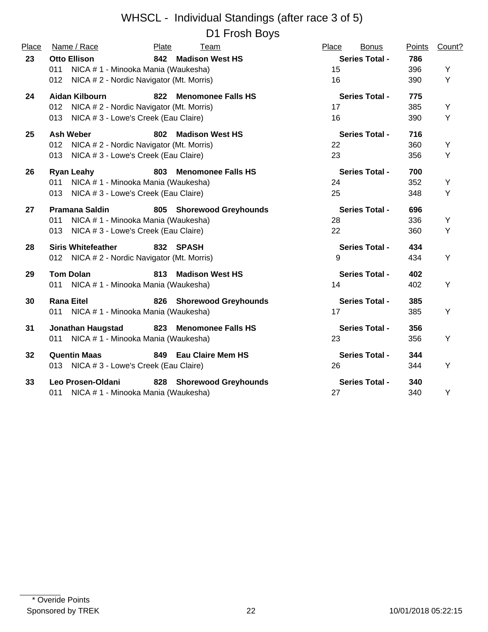| Place | Name / Race                                     | Plate                               | Team                      | Place | <b>Bonus</b>          | Points | Count? |
|-------|-------------------------------------------------|-------------------------------------|---------------------------|-------|-----------------------|--------|--------|
| 23    | <b>Otto Ellison</b>                             |                                     | 842 Madison West HS       |       | <b>Series Total -</b> | 786    |        |
|       | NICA # 1 - Minooka Mania (Waukesha)<br>011      |                                     |                           | 15    |                       | 396    | Y      |
|       | 012 NICA # 2 - Nordic Navigator (Mt. Morris)    |                                     |                           | 16    |                       | 390    | Y      |
| 24    | Aidan Kilbourn                                  | 822                                 | <b>Menomonee Falls HS</b> |       | <b>Series Total -</b> | 775    |        |
|       | NICA # 2 - Nordic Navigator (Mt. Morris)<br>012 |                                     |                           | 17    |                       | 385    | Y      |
|       | 013 NICA # 3 - Lowe's Creek (Eau Claire)        |                                     |                           | 16    |                       | 390    | Y      |
| 25    | <b>Ash Weber</b>                                | 802                                 | <b>Madison West HS</b>    |       | <b>Series Total -</b> | 716    |        |
|       | 012 NICA # 2 - Nordic Navigator (Mt. Morris)    |                                     |                           | 22    |                       | 360    | Y      |
|       | 013 NICA # 3 - Lowe's Creek (Eau Claire)        |                                     |                           | 23    |                       | 356    | Y      |
| 26    | Ryan Leahy                                      | 803                                 | <b>Menomonee Falls HS</b> |       | <b>Series Total -</b> | 700    |        |
|       | 011 NICA # 1 - Minooka Mania (Waukesha)         |                                     |                           | 24    |                       | 352    | Y      |
|       | 013 NICA # 3 - Lowe's Creek (Eau Claire)        |                                     |                           | 25    |                       | 348    | Y      |
| 27    | <b>Pramana Saldin</b>                           |                                     | 805 Shorewood Greyhounds  |       | <b>Series Total -</b> | 696    |        |
|       | 011                                             | NICA # 1 - Minooka Mania (Waukesha) |                           | 28    |                       | 336    | Y      |
|       | 013 NICA # 3 - Lowe's Creek (Eau Claire)        |                                     |                           | 22    |                       | 360    | Y      |
| 28    | <b>Siris Whitefeather</b>                       |                                     | 832 SPASH                 |       | <b>Series Total -</b> | 434    |        |
|       | 012 NICA # 2 - Nordic Navigator (Mt. Morris)    |                                     |                           | 9     |                       | 434    | Υ      |
| 29    | <b>Tom Dolan</b>                                |                                     | 813 Madison West HS       |       | <b>Series Total -</b> | 402    |        |
|       | 011 NICA # 1 - Minooka Mania (Waukesha)         |                                     |                           | 14    |                       | 402    | Y      |
| 30    | <b>Rana Eitel</b>                               |                                     | 826 Shorewood Greyhounds  |       | <b>Series Total -</b> | 385    |        |
|       | 011 NICA # 1 - Minooka Mania (Waukesha)         |                                     |                           | 17    |                       | 385    | Y      |
| 31    | <b>Jonathan Haugstad</b>                        |                                     | 823 Menomonee Falls HS    |       | <b>Series Total -</b> | 356    |        |
|       | 011 NICA # 1 - Minooka Mania (Waukesha)         |                                     |                           | 23    |                       | 356    | Y      |
| 32    | <b>Quentin Maas</b>                             |                                     | 849 Eau Claire Mem HS     |       | <b>Series Total -</b> | 344    |        |
|       | 013 NICA # 3 - Lowe's Creek (Eau Claire)        |                                     |                           | 26    |                       | 344    | Y      |
| 33    | Leo Prosen-Oldani                               |                                     | 828 Shorewood Greyhounds  |       | <b>Series Total -</b> | 340    |        |
|       | 011 NICA # 1 - Minooka Mania (Waukesha)         |                                     |                           | 27    |                       | 340    | Y      |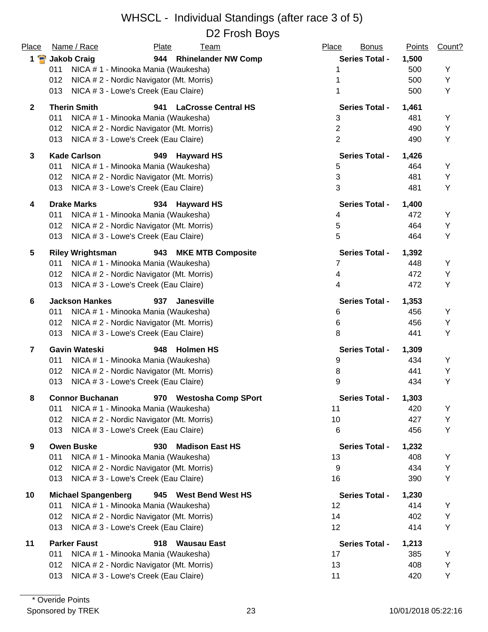| Place<br>$1$ $\bullet$ | Name / Race<br>Plate<br><u>Team</u>                                                         | Place<br><b>Bonus</b> | <b>Points</b> | Count? |
|------------------------|---------------------------------------------------------------------------------------------|-----------------------|---------------|--------|
|                        | 944 Rhinelander NW Comp<br><b>Jakob Craig</b><br>NICA # 1 - Minooka Mania (Waukesha)<br>011 | <b>Series Total -</b> | 1,500<br>500  | Υ      |
|                        | 012<br>NICA # 2 - Nordic Navigator (Mt. Morris)                                             |                       | 500           | Υ      |
|                        | NICA #3 - Lowe's Creek (Eau Claire)<br>013                                                  |                       | 500           | Υ      |
| $\overline{2}$         | <b>Therin Smith</b><br>941<br><b>LaCrosse Central HS</b>                                    | <b>Series Total -</b> | 1,461         |        |
|                        | 011<br>NICA # 1 - Minooka Mania (Waukesha)                                                  | 3                     | 481           | Υ      |
|                        | 012<br>NICA # 2 - Nordic Navigator (Mt. Morris)                                             | $\overline{2}$        | 490           | Υ      |
|                        | 013<br>NICA # 3 - Lowe's Creek (Eau Claire)                                                 | $\overline{2}$        | 490           | Υ      |
|                        |                                                                                             |                       |               |        |
| 3                      | <b>Kade Carlson</b><br><b>Hayward HS</b><br>949                                             | <b>Series Total -</b> | 1,426         |        |
|                        | 011<br>NICA # 1 - Minooka Mania (Waukesha)                                                  | 5                     | 464           | Y      |
|                        | NICA # 2 - Nordic Navigator (Mt. Morris)<br>012                                             | $\sqrt{3}$            | 481           | Y      |
|                        | 013<br>NICA # 3 - Lowe's Creek (Eau Claire)                                                 | 3                     | 481           | Υ      |
| 4                      | <b>Drake Marks</b><br>934<br><b>Hayward HS</b>                                              | <b>Series Total -</b> | 1,400         |        |
|                        | NICA # 1 - Minooka Mania (Waukesha)<br>011                                                  | 4                     | 472           | Y      |
|                        | 012<br>NICA # 2 - Nordic Navigator (Mt. Morris)                                             | 5                     | 464           | Υ      |
|                        | 013<br>NICA # 3 - Lowe's Creek (Eau Claire)                                                 | 5                     | 464           | Υ      |
| 5                      | <b>Riley Wrightsman</b><br>943<br><b>MKE MTB Composite</b>                                  | <b>Series Total -</b> | 1,392         |        |
|                        | 011<br>NICA # 1 - Minooka Mania (Waukesha)                                                  | 7                     | 448           | Y      |
|                        | 012<br>NICA # 2 - Nordic Navigator (Mt. Morris)                                             | 4                     | 472           | Υ      |
|                        | 013<br>NICA # 3 - Lowe's Creek (Eau Claire)                                                 | 4                     | 472           | Υ      |
| 6                      | <b>Jackson Hankes</b><br>937<br><b>Janesville</b>                                           | <b>Series Total -</b> | 1,353         |        |
|                        | 011<br>NICA # 1 - Minooka Mania (Waukesha)                                                  | 6                     | 456           | Υ      |
|                        | 012<br>NICA # 2 - Nordic Navigator (Mt. Morris)                                             | 6                     | 456           | Υ      |
|                        | 013<br>NICA # 3 - Lowe's Creek (Eau Claire)                                                 | 8                     | 441           | Υ      |
| $\overline{7}$         | <b>Gavin Wateski</b><br>948<br><b>Holmen HS</b>                                             | <b>Series Total -</b> | 1,309         |        |
|                        | 011<br>NICA # 1 - Minooka Mania (Waukesha)                                                  | 9                     | 434           | Υ      |
|                        | 012<br>NICA # 2 - Nordic Navigator (Mt. Morris)                                             | 8                     | 441           | Υ      |
|                        | 013<br>NICA # 3 - Lowe's Creek (Eau Claire)                                                 | 9                     | 434           | Υ      |
| 8                      | 970 Westosha Comp SPort<br><b>Connor Buchanan</b>                                           | <b>Series Total -</b> | 1,303         |        |
|                        | 011<br>NICA # 1 - Minooka Mania (Waukesha)                                                  | 11                    | 420           | Υ      |
|                        | NICA #2 - Nordic Navigator (Mt. Morris)<br>012                                              | 10                    | 427           | Υ      |
|                        | 013<br>NICA # 3 - Lowe's Creek (Eau Claire)                                                 | 6                     | 456           | Υ      |
| 9                      | <b>Owen Buske</b><br>930<br><b>Madison East HS</b>                                          | <b>Series Total -</b> | 1,232         |        |
|                        | 011<br>NICA # 1 - Minooka Mania (Waukesha)                                                  | 13                    | 408           | Y      |
|                        | NICA #2 - Nordic Navigator (Mt. Morris)<br>012                                              | 9                     | 434           | Υ      |
|                        | NICA # 3 - Lowe's Creek (Eau Claire)<br>013                                                 | 16                    | 390           | Υ      |
| 10                     | <b>Michael Spangenberg</b><br>945 West Bend West HS                                         | <b>Series Total -</b> | 1,230         |        |
|                        | NICA # 1 - Minooka Mania (Waukesha)<br>011                                                  | 12                    | 414           | Y      |
|                        | NICA #2 - Nordic Navigator (Mt. Morris)<br>012                                              | 14                    | 402           | Υ      |
|                        | 013<br>NICA # 3 - Lowe's Creek (Eau Claire)                                                 | 12                    | 414           | Υ      |
| 11                     | <b>Parker Faust</b><br>918<br><b>Wausau East</b>                                            | <b>Series Total -</b> | 1,213         |        |
|                        | 011<br>NICA # 1 - Minooka Mania (Waukesha)                                                  | 17                    | 385           | Y      |
|                        | NICA # 2 - Nordic Navigator (Mt. Morris)<br>012                                             | 13                    | 408           | Y      |
|                        | NICA # 3 - Lowe's Creek (Eau Claire)<br>013                                                 | 11                    | 420           | Y      |
|                        |                                                                                             |                       |               |        |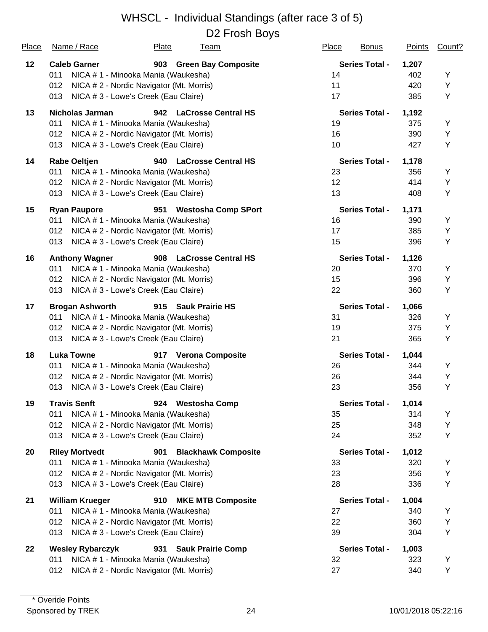| <b>Place</b> | Name / Race                                     | Plate | <u>Team</u>                | <b>Place</b>    | <b>Bonus</b>          | <b>Points</b> | Count? |
|--------------|-------------------------------------------------|-------|----------------------------|-----------------|-----------------------|---------------|--------|
| 12           | <b>Caleb Garner</b>                             |       | 903 Green Bay Composite    |                 | <b>Series Total -</b> | 1,207         |        |
|              | 011<br>NICA # 1 - Minooka Mania (Waukesha)      |       |                            | 14              |                       | 402           | Υ      |
|              | NICA # 2 - Nordic Navigator (Mt. Morris)<br>012 |       |                            | 11              |                       | 420           | Υ      |
|              | NICA # 3 - Lowe's Creek (Eau Claire)<br>013     |       |                            | 17              |                       | 385           | Υ      |
| 13           | <b>Nicholas Jarman</b>                          |       | 942 LaCrosse Central HS    |                 | <b>Series Total -</b> | 1,192         |        |
|              | 011<br>NICA # 1 - Minooka Mania (Waukesha)      |       |                            | 19              |                       | 375           | Υ      |
|              | 012<br>NICA # 2 - Nordic Navigator (Mt. Morris) |       |                            | 16              |                       | 390           | Υ      |
|              | 013<br>NICA # 3 - Lowe's Creek (Eau Claire)     |       |                            | 10              |                       | 427           | Υ      |
| 14           | <b>Rabe Oeltjen</b>                             | 940   | <b>LaCrosse Central HS</b> |                 | <b>Series Total -</b> | 1,178         |        |
|              | 011<br>NICA # 1 - Minooka Mania (Waukesha)      |       |                            | 23              |                       | 356           | Y      |
|              | NICA # 2 - Nordic Navigator (Mt. Morris)<br>012 |       |                            | 12 <sub>2</sub> |                       | 414           | Υ      |
|              | 013<br>NICA # 3 - Lowe's Creek (Eau Claire)     |       |                            | 13              |                       | 408           | Υ      |
| 15           | <b>Ryan Paupore</b>                             | 951   | <b>Westosha Comp SPort</b> |                 | <b>Series Total -</b> | 1,171         |        |
|              | NICA # 1 - Minooka Mania (Waukesha)<br>011      |       |                            | 16              |                       | 390           | Υ      |
|              | 012<br>NICA # 2 - Nordic Navigator (Mt. Morris) |       |                            | 17              |                       | 385           | Υ      |
|              | 013<br>NICA # 3 - Lowe's Creek (Eau Claire)     |       |                            | 15              |                       | 396           | Υ      |
| 16           | <b>Anthony Wagner</b>                           |       | 908 LaCrosse Central HS    |                 | <b>Series Total -</b> | 1,126         |        |
|              | 011<br>NICA # 1 - Minooka Mania (Waukesha)      |       |                            | 20              |                       | 370           | Υ      |
|              | 012<br>NICA # 2 - Nordic Navigator (Mt. Morris) |       |                            | 15              |                       | 396           | Υ      |
|              | 013<br>NICA # 3 - Lowe's Creek (Eau Claire)     |       |                            | 22              |                       | 360           | Υ      |
| 17           | <b>Brogan Ashworth</b>                          |       | 915 Sauk Prairie HS        |                 | <b>Series Total -</b> | 1,066         |        |
|              | NICA # 1 - Minooka Mania (Waukesha)<br>011      |       |                            | 31              |                       | 326           | Υ      |
|              | 012<br>NICA # 2 - Nordic Navigator (Mt. Morris) |       |                            | 19              |                       | 375           | Υ      |
|              | 013<br>NICA # 3 - Lowe's Creek (Eau Claire)     |       |                            | 21              |                       | 365           | Υ      |
| 18           | <b>Luka Towne</b>                               |       | 917 Verona Composite       |                 | <b>Series Total -</b> | 1,044         |        |
|              | 011<br>NICA # 1 - Minooka Mania (Waukesha)      |       |                            | 26              |                       | 344           | Y      |
|              | 012<br>NICA # 2 - Nordic Navigator (Mt. Morris) |       |                            | 26              |                       | 344           | Υ      |
|              | NICA # 3 - Lowe's Creek (Eau Claire)<br>013     |       |                            | 23              |                       | 356           | Υ      |
| 19           | <b>Travis Senft</b>                             |       | 924 Westosha Comp          |                 | <b>Series Total -</b> | 1,014         |        |
|              | 011<br>NICA # 1 - Minooka Mania (Waukesha)      |       |                            | 35              |                       | 314           | Y      |
|              | 012<br>NICA # 2 - Nordic Navigator (Mt. Morris) |       |                            | 25              |                       | 348           | Υ      |
|              | 013<br>NICA # 3 - Lowe's Creek (Eau Claire)     |       |                            | 24              |                       | 352           | Υ      |
| 20           | <b>Riley Mortvedt</b>                           | 901   | <b>Blackhawk Composite</b> |                 | <b>Series Total -</b> | 1,012         |        |
|              | 011<br>NICA # 1 - Minooka Mania (Waukesha)      |       |                            | 33              |                       | 320           | Y      |
|              | NICA # 2 - Nordic Navigator (Mt. Morris)<br>012 |       |                            | 23              |                       | 356           | Υ      |
|              | 013<br>NICA # 3 - Lowe's Creek (Eau Claire)     |       |                            | 28              |                       | 336           | Υ      |
| 21           | <b>William Krueger</b>                          |       | 910 MKE MTB Composite      |                 | <b>Series Total -</b> | 1,004         |        |
|              | 011<br>NICA # 1 - Minooka Mania (Waukesha)      |       |                            | 27              |                       | 340           | Y      |
|              | 012<br>NICA # 2 - Nordic Navigator (Mt. Morris) |       |                            | 22              |                       | 360           | Υ      |
|              | 013<br>NICA # 3 - Lowe's Creek (Eau Claire)     |       |                            | 39              |                       | 304           | Υ      |
| 22           | <b>Wesley Rybarczyk</b>                         | 931   | <b>Sauk Prairie Comp</b>   |                 | <b>Series Total -</b> | 1,003         |        |
|              | NICA # 1 - Minooka Mania (Waukesha)<br>011      |       |                            | 32              |                       | 323           | Υ      |
|              | NICA # 2 - Nordic Navigator (Mt. Morris)<br>012 |       |                            | 27              |                       | 340           | Y      |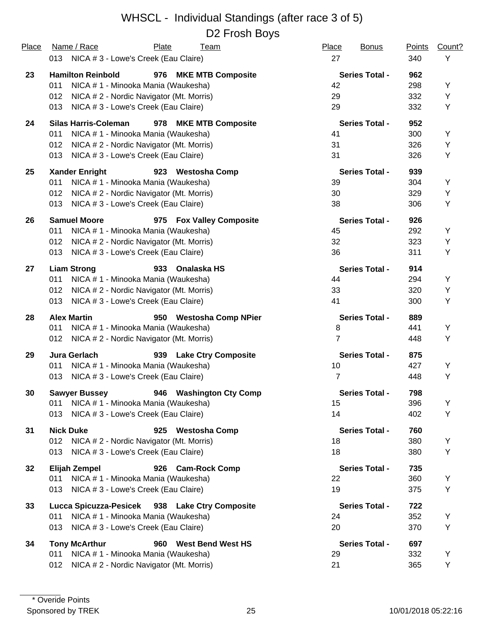| Place | Name / Race<br>Plate<br><u>Team</u>                  | Place<br><b>Bonus</b> | <b>Points</b> | Count? |
|-------|------------------------------------------------------|-----------------------|---------------|--------|
|       | 013 NICA # 3 - Lowe's Creek (Eau Claire)             | 27                    | 340           | Y      |
| 23    | <b>Hamilton Reinbold</b><br>976 MKE MTB Composite    | <b>Series Total -</b> | 962           |        |
|       | 011<br>NICA # 1 - Minooka Mania (Waukesha)           | 42                    | 298           | Y      |
|       | NICA # 2 - Nordic Navigator (Mt. Morris)<br>012      | 29                    | 332           | Υ      |
|       | NICA # 3 - Lowe's Creek (Eau Claire)<br>013          | 29                    | 332           | Υ      |
| 24    | <b>Silas Harris-Coleman</b><br>978 MKE MTB Composite | <b>Series Total -</b> | 952           |        |
|       | 011<br>NICA # 1 - Minooka Mania (Waukesha)           | 41                    | 300           | Υ      |
|       | NICA # 2 - Nordic Navigator (Mt. Morris)<br>012      | 31                    | 326           | Υ      |
|       | NICA # 3 - Lowe's Creek (Eau Claire)<br>013          | 31                    | 326           | Υ      |
| 25    | <b>Xander Enright</b><br>923 Westosha Comp           | <b>Series Total -</b> | 939           |        |
|       | 011<br>NICA # 1 - Minooka Mania (Waukesha)           | 39                    | 304           | Υ      |
|       | NICA # 2 - Nordic Navigator (Mt. Morris)<br>012      | 30                    | 329           | Υ      |
|       | NICA # 3 - Lowe's Creek (Eau Claire)<br>013          | 38                    | 306           | Υ      |
| 26    | <b>Samuel Moore</b><br>975 Fox Valley Composite      | <b>Series Total -</b> | 926           |        |
|       | 011<br>NICA # 1 - Minooka Mania (Waukesha)           | 45                    | 292           | Y      |
|       | 012<br>NICA # 2 - Nordic Navigator (Mt. Morris)      | 32                    | 323           | Υ      |
|       | 013<br>NICA # 3 - Lowe's Creek (Eau Claire)          | 36                    | 311           | Y      |
| 27    | <b>Liam Strong</b><br>933<br>Onalaska HS             | <b>Series Total -</b> | 914           |        |
|       | 011<br>NICA # 1 - Minooka Mania (Waukesha)           | 44                    | 294           | Υ      |
|       | 012<br>NICA # 2 - Nordic Navigator (Mt. Morris)      | 33                    | 320           | Υ      |
|       | NICA # 3 - Lowe's Creek (Eau Claire)<br>013          | 41                    | 300           | Υ      |
| 28    | <b>Alex Martin</b><br>950 Westosha Comp NPier        | <b>Series Total -</b> | 889           |        |
|       | 011<br>NICA # 1 - Minooka Mania (Waukesha)           | 8                     | 441           | Υ      |
|       | NICA #2 - Nordic Navigator (Mt. Morris)<br>012       | $\overline{7}$        | 448           | Y      |
| 29    | Jura Gerlach<br>939 Lake Ctry Composite              | <b>Series Total -</b> | 875           |        |
|       | NICA # 1 - Minooka Mania (Waukesha)<br>011           | 10                    | 427           | Υ      |
|       | NICA # 3 - Lowe's Creek (Eau Claire)<br>013          | $\overline{7}$        | 448           | Y      |
| 30    | 946 Washington Cty Comp<br><b>Sawyer Bussey</b>      | <b>Series Total -</b> | 798           |        |
|       | NICA # 1 - Minooka Mania (Waukesha)<br>011           | 15                    | 396           | Υ      |
|       | 013<br>NICA # 3 - Lowe's Creek (Eau Claire)          | 14                    | 402           | Υ      |
| 31    | <b>Nick Duke</b><br>925<br><b>Westosha Comp</b>      | <b>Series Total -</b> | 760           |        |
|       | 012<br>NICA # 2 - Nordic Navigator (Mt. Morris)      | 18                    | 380           | Y      |
|       | 013<br>NICA # 3 - Lowe's Creek (Eau Claire)          | 18                    | 380           | Y      |
| 32    | <b>Elijah Zempel</b><br>926 Cam-Rock Comp            | <b>Series Total -</b> | 735           |        |
|       | NICA # 1 - Minooka Mania (Waukesha)<br>011           | 22                    | 360           | Y      |
|       | NICA # 3 - Lowe's Creek (Eau Claire)<br>013          | 19                    | 375           | Υ      |
| 33    | Lucca Spicuzza-Pesicek 938 Lake Ctry Composite       | <b>Series Total -</b> | 722           |        |
|       | NICA # 1 - Minooka Mania (Waukesha)<br>011           | 24                    | 352           | Y      |
|       | 013<br>NICA # 3 - Lowe's Creek (Eau Claire)          | 20                    | 370           | Υ      |
| 34    | <b>Tony McArthur</b><br>960 West Bend West HS        | <b>Series Total -</b> | 697           |        |
|       | NICA # 1 - Minooka Mania (Waukesha)<br>011           | 29                    | 332           | Y      |
|       | NICA # 2 - Nordic Navigator (Mt. Morris)<br>012      | 21                    | 365           | Y      |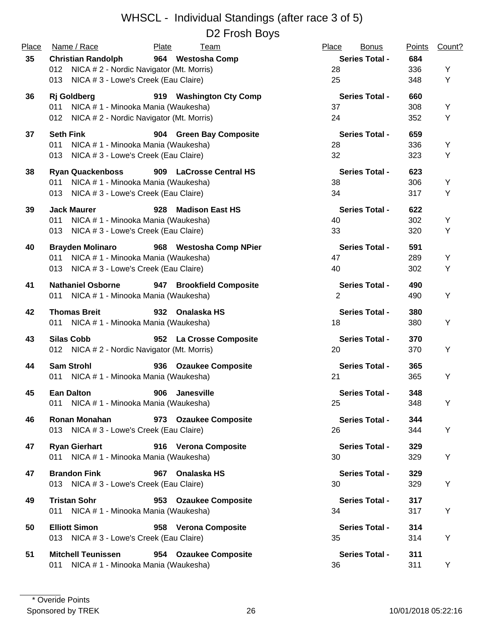| Place    | Name / Race                                  | Plate<br><b>Team</b>          | Place<br><b>Bonus</b> | <b>Points</b> | Count? |
|----------|----------------------------------------------|-------------------------------|-----------------------|---------------|--------|
| 35<br>36 | <b>Christian Randolph</b>                    | 964 Westosha Comp             | <b>Series Total -</b> | 684           |        |
|          | 012 NICA # 2 - Nordic Navigator (Mt. Morris) |                               | 28                    | 336           | Y      |
|          | NICA # 3 - Lowe's Creek (Eau Claire)<br>013  |                               | 25                    | 348           | Y      |
|          | <b>Rj</b> Goldberg                           | 919 Washington Cty Comp       | <b>Series Total -</b> | 660           |        |
|          | 011 NICA # 1 - Minooka Mania (Waukesha)      |                               | 37                    | 308           | Υ      |
|          | 012 NICA # 2 - Nordic Navigator (Mt. Morris) |                               | 24                    | 352           | Y      |
| 37       | <b>Seth Fink</b>                             | 904 Green Bay Composite       | <b>Series Total -</b> | 659           |        |
|          | 011<br>NICA # 1 - Minooka Mania (Waukesha)   |                               | 28                    | 336           | Υ      |
|          | NICA # 3 - Lowe's Creek (Eau Claire)<br>013  |                               | 32                    | 323           | Υ      |
| 38       | <b>Ryan Quackenboss</b>                      | 909 LaCrosse Central HS       | <b>Series Total -</b> | 623           |        |
|          | NICA #1 - Minooka Mania (Waukesha)<br>011    |                               | 38                    | 306           | Y      |
|          | NICA # 3 - Lowe's Creek (Eau Claire)<br>013  |                               | 34                    | 317           | Y      |
| 39       | <b>Jack Maurer</b>                           | 928<br><b>Madison East HS</b> | <b>Series Total -</b> | 622           |        |
|          | NICA # 1 - Minooka Mania (Waukesha)<br>011   |                               | 40                    | 302           | Υ      |
|          | NICA # 3 - Lowe's Creek (Eau Claire)<br>013  |                               | 33                    | 320           | Υ      |
| 40       | <b>Brayden Molinaro</b>                      | 968 Westosha Comp NPier       | <b>Series Total -</b> | 591           |        |
|          | NICA # 1 - Minooka Mania (Waukesha)<br>011   |                               | 47                    | 289           | Υ      |
|          | NICA # 3 - Lowe's Creek (Eau Claire)<br>013  |                               | 40                    | 302           | Υ      |
| 41       | <b>Nathaniel Osborne</b>                     | 947 Brookfield Composite      | <b>Series Total -</b> | 490           |        |
|          | 011 NICA # 1 - Minooka Mania (Waukesha)      |                               | $\overline{2}$        | 490           | Υ      |
| 42       | <b>Thomas Breit</b>                          | 932 Onalaska HS               | <b>Series Total -</b> | 380           |        |
|          | 011 NICA # 1 - Minooka Mania (Waukesha)      |                               | 18                    | 380           | Υ      |
| 43       | <b>Silas Cobb</b>                            | 952 La Crosse Composite       | <b>Series Total -</b> | 370           |        |
|          | 012 NICA # 2 - Nordic Navigator (Mt. Morris) |                               | 20                    | 370           | Υ      |
| 44       | <b>Sam Strohl</b>                            | 936 Ozaukee Composite         | <b>Series Total -</b> | 365           |        |
|          | 011 NICA # 1 - Minooka Mania (Waukesha)      |                               | 21                    | 365           | Υ      |
| 45       | <b>Ean Dalton</b>                            | 906<br><b>Janesville</b>      | <b>Series Total -</b> | 348           |        |
|          | 011 NICA # 1 - Minooka Mania (Waukesha)      |                               | 25                    | 348           | Υ      |
| 46       | <b>Ronan Monahan</b>                         | 973 Ozaukee Composite         | <b>Series Total -</b> | 344           |        |
|          | 013 NICA # 3 - Lowe's Creek (Eau Claire)     |                               | 26                    | 344           | Y      |
| 47       | <b>Ryan Gierhart</b>                         | 916 Verona Composite          | <b>Series Total -</b> | 329           |        |
|          | 011 NICA # 1 - Minooka Mania (Waukesha)      |                               | 30                    | 329           | Υ      |
| 47       | <b>Brandon Fink</b>                          | 967 Onalaska HS               | <b>Series Total -</b> | 329           |        |
|          | 013 NICA # 3 - Lowe's Creek (Eau Claire)     |                               | 30                    | 329           | Υ      |
|          |                                              |                               |                       |               |        |
| 49       | <b>Tristan Sohr</b>                          | 953 Ozaukee Composite         | <b>Series Total -</b> | 317           |        |
|          | 011 NICA # 1 - Minooka Mania (Waukesha)      |                               | 34                    | 317           | Υ      |
| 50       | <b>Elliott Simon</b>                         | 958 Verona Composite          | <b>Series Total -</b> | 314           |        |
|          | 013 NICA # 3 - Lowe's Creek (Eau Claire)     |                               | 35                    | 314           | Υ      |
| 51       | <b>Mitchell Teunissen</b>                    | 954 Ozaukee Composite         | <b>Series Total -</b> | 311           |        |
|          | NICA # 1 - Minooka Mania (Waukesha)<br>011   |                               | 36                    | 311           | Y      |